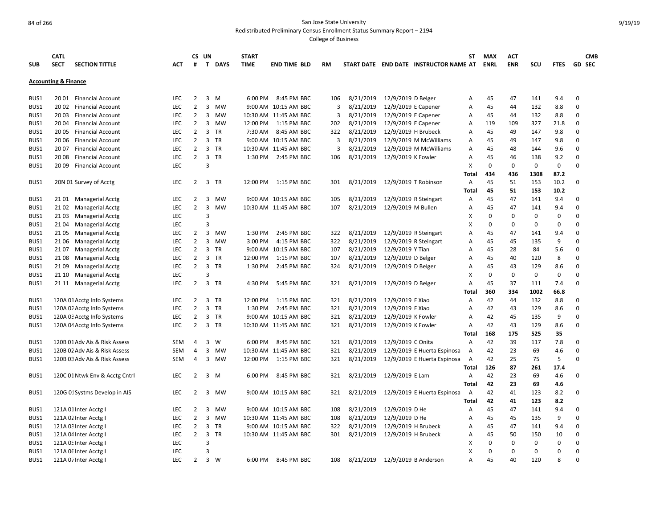Redistributed Preliminary Census Enrollment Status Summary Report – 2194

| <b>SUB</b> | <b>CATL</b><br><b>SECT</b>      | <b>SECTION TITTLE</b>          | ACT        | #              | CS UN<br>$\mathsf{T}$<br><b>DAYS</b> | <b>START</b><br><b>TIME</b> | <b>END TIME BLD</b>   | <b>RM</b> |           |                       | START DATE END DATE INSTRUCTOR NAME AT | SΤ             | <b>MAX</b><br><b>ENRL</b> | <b>ACT</b><br><b>ENR</b> | SCU         | <b>FTES</b> | <b>CMB</b><br><b>GD SEC</b> |
|------------|---------------------------------|--------------------------------|------------|----------------|--------------------------------------|-----------------------------|-----------------------|-----------|-----------|-----------------------|----------------------------------------|----------------|---------------------------|--------------------------|-------------|-------------|-----------------------------|
|            |                                 |                                |            |                |                                      |                             |                       |           |           |                       |                                        |                |                           |                          |             |             |                             |
|            | <b>Accounting &amp; Finance</b> |                                |            |                |                                      |                             |                       |           |           |                       |                                        |                |                           |                          |             |             |                             |
| BUS1       |                                 | 20 01 Financial Account        | <b>LEC</b> | $\overline{2}$ | 3<br>M                               | 6:00 PM                     | 8:45 PM BBC           | 106       | 8/21/2019 | 12/9/2019 D Belger    |                                        | Α              | 45                        | 47                       | 141         | 9.4         | 0                           |
| BUS1       | 20 02                           | <b>Financial Account</b>       | <b>LEC</b> | $\overline{2}$ | 3<br>MW                              |                             | 9:00 AM 10:15 AM BBC  | 3         | 8/21/2019 | 12/9/2019 E Capener   |                                        | А              | 45                        | 44                       | 132         | 8.8         | 0                           |
| BUS1       | 20 03                           | <b>Financial Account</b>       | <b>LEC</b> | $\overline{2}$ | 3<br><b>MW</b>                       |                             | 10:30 AM 11:45 AM BBC | 3         | 8/21/2019 | 12/9/2019 E Capener   |                                        | А              | 45                        | 44                       | 132         | 8.8         | 0                           |
| BUS1       |                                 | 20 04 Financial Account        | LEC        | $\overline{2}$ | 3 MW                                 | 12:00 PM                    | 1:15 PM BBC           | 202       | 8/21/2019 | 12/9/2019 E Capener   |                                        | А              | 119                       | 109                      | 327         | 21.8        | 0                           |
| BUS1       | 2005                            | <b>Financial Account</b>       | <b>LEC</b> | $\overline{2}$ | 3<br>TR                              | 7:30 AM                     | 8:45 AM BBC           | 322       | 8/21/2019 | 12/9/2019 H Brubeck   |                                        | А              | 45                        | 49                       | 147         | 9.8         | 0                           |
| BUS1       | 2006                            | <b>Financial Account</b>       | LEC        | $\overline{2}$ | 3 TR                                 | 9:00 AM                     | 10:15 AM BBC          | 3         | 8/21/2019 |                       | 12/9/2019 M McWilliams                 | А              | 45                        | 49                       | 147         | 9.8         | 0                           |
| BUS1       | 2007                            | <b>Financial Account</b>       | LEC        | $\overline{2}$ | 3<br><b>TR</b>                       | 10:30 AM                    | 11:45 AM BBC          | 3         | 8/21/2019 |                       | 12/9/2019 M McWilliams                 | А              | 45                        | 48                       | 144         | 9.6         | 0                           |
| BUS1       | 20 08                           | <b>Financial Account</b>       | <b>LEC</b> | $\overline{2}$ | $\overline{3}$<br><b>TR</b>          | 1:30 PM                     | 2:45 PM BBC           | 106       | 8/21/2019 | 12/9/2019 K Fowler    |                                        | А              | 45                        | 46                       | 138         | 9.2         | 0                           |
| BUS1       | 20 09                           | <b>Financial Account</b>       | LEC        |                | 3                                    |                             |                       |           |           |                       |                                        | Χ              | $\Omega$                  | $\Omega$                 | $\mathbf 0$ | $\mathbf 0$ | 0                           |
|            |                                 |                                |            |                |                                      |                             |                       |           |           |                       |                                        | Total          | 434                       | 436                      | 1308        | 87.2        |                             |
|            |                                 |                                |            |                | <b>TR</b>                            |                             |                       |           |           |                       |                                        |                |                           |                          |             |             | 0                           |
| BUS1       |                                 | 20N 01 Survey of Acctg         | LEC        | 2              | 3                                    | 12:00 PM                    | 1:15 PM BBC           | 301       | 8/21/2019 | 12/9/2019 T Robinson  |                                        | А              | 45                        | 51                       | 153         | 10.2        |                             |
|            |                                 |                                |            |                |                                      |                             |                       |           |           |                       |                                        | Total          | 45                        | 51                       | 153         | 10.2        |                             |
| BUS1       |                                 | 2101 Managerial Acctg          | <b>LEC</b> | 2              | $\overline{3}$<br><b>MW</b>          |                             | 9:00 AM 10:15 AM BBC  | 105       | 8/21/2019 | 12/9/2019 R Steingart |                                        | Α              | 45                        | 47                       | 141         | 9.4         | 0                           |
| BUS1       | 2102                            | Managerial Acctg               | LEC        | $\overline{2}$ | $\overline{3}$<br><b>MW</b>          |                             | 10:30 AM 11:45 AM BBC | 107       | 8/21/2019 | 12/9/2019 M Bullen    |                                        | А              | 45                        | 47                       | 141         | 9.4         | 0                           |
| BUS1       | 2103                            | <b>Managerial Acctg</b>        | LEC        |                | 3                                    |                             |                       |           |           |                       |                                        | X              | 0                         | 0                        | 0           | 0           | 0                           |
| BUS1       | 21 04                           | <b>Managerial Acctg</b>        | <b>LEC</b> |                | $\overline{3}$                       |                             |                       |           |           |                       |                                        | X              | 0                         | $\Omega$                 | 0           | $\Omega$    | 0                           |
| BUS1       | 21 05                           | <b>Managerial Acctg</b>        | <b>LEC</b> | $\overline{2}$ | 3<br>MW                              | 1:30 PM                     | 2:45 PM BBC           | 322       | 8/21/2019 | 12/9/2019 R Steingart |                                        | Α              | 45                        | 47                       | 141         | 9.4         | 0                           |
| BUS1       | 21 06                           | <b>Managerial Acctg</b>        | <b>LEC</b> | $\overline{2}$ | $\overline{3}$<br>MW                 | 3:00 PM                     | 4:15 PM BBC           | 322       | 8/21/2019 | 12/9/2019 R Steingart |                                        | А              | 45                        | 45                       | 135         | 9           | 0                           |
| BUS1       | 2107                            | Managerial Acctg               | <b>LEC</b> | $\overline{2}$ | $\overline{3}$<br>TR                 | 9:00 AM                     | 10:15 AM BBC          | 107       | 8/21/2019 | 12/9/2019 Y Tian      |                                        | А              | 45                        | 28                       | 84          | 5.6         | 0                           |
| BUS1       | 2108                            | <b>Managerial Acctg</b>        | LEC        | $\overline{2}$ | 3<br><b>TR</b>                       | 12:00 PM                    | 1:15 PM BBC           | 107       | 8/21/2019 | 12/9/2019 D Belger    |                                        | А              | 45                        | 40                       | 120         | 8           | 0                           |
| BUS1       | 21 09                           | <b>Managerial Acctg</b>        | <b>LEC</b> | $\overline{2}$ | $\overline{3}$<br><b>TR</b>          | 1:30 PM                     | 2:45 PM BBC           | 324       | 8/21/2019 | 12/9/2019 D Belger    |                                        | А              | 45                        | 43                       | 129         | 8.6         | 0                           |
| BUS1       | 21 10                           | <b>Managerial Acctg</b>        | <b>LEC</b> |                | 3                                    |                             |                       |           |           |                       |                                        | X              | 0                         | $\Omega$                 | $\mathbf 0$ | 0           | 0                           |
| BUS1       |                                 | 21 11 Managerial Acctg         | LEC        | $\overline{2}$ | $\overline{3}$<br>TR                 | 4:30 PM                     | 5:45 PM BBC           | 321       | 8/21/2019 | 12/9/2019 D Belger    |                                        | А              | 45                        | 37                       | 111         | 7.4         | 0                           |
|            |                                 |                                |            |                |                                      |                             |                       |           |           |                       |                                        | Total          | 360                       | 334                      | 1002        | 66.8        |                             |
| BUS1       |                                 | 120A 01 Acctg Info Systems     | <b>LEC</b> | $\overline{2}$ | 3 TR                                 | 12:00 PM                    | 1:15 PM BBC           | 321       | 8/21/2019 | 12/9/2019 F Xiao      |                                        | А              | 42                        | 44                       | 132         | 8.8         | 0                           |
| BUS1       |                                 | 120A 02 Acctg Info Systems     | <b>LEC</b> | $\overline{2}$ | 3<br><b>TR</b>                       | 1:30 PM                     | 2:45 PM BBC           | 321       | 8/21/2019 | 12/9/2019 F Xiao      |                                        | Α              | 42                        | 43                       | 129         | 8.6         | 0                           |
| BUS1       |                                 | 120A 03 Acctg Info Systems     | <b>LEC</b> | $\overline{2}$ | $\overline{3}$<br><b>TR</b>          |                             | 9:00 AM 10:15 AM BBC  | 321       | 8/21/2019 | 12/9/2019 K Fowler    |                                        | A              | 42                        | 45                       | 135         | 9           | 0                           |
| BUS1       |                                 | 120A 04 Acctg Info Systems     | LEC        | $\overline{2}$ | $\overline{3}$<br>TR                 |                             | 10:30 AM 11:45 AM BBC | 321       | 8/21/2019 | 12/9/2019 K Fowler    |                                        | Α              | 42                        | 43                       | 129         | 8.6         | 0                           |
|            |                                 |                                |            |                |                                      |                             |                       |           |           |                       |                                        | Total          | 168                       | 175                      | 525         | 35          |                             |
| BUS1       |                                 | 120B 01 Adv Ais & Risk Assess  | <b>SEM</b> | 4              | 3<br>W                               | 6:00 PM                     | 8:45 PM BBC           | 321       | 8/21/2019 | 12/9/2019 C Onita     |                                        | A              | 42                        | 39                       | 117         | 7.8         | 0                           |
|            |                                 | 120B 02 Adv Ais & Risk Assess  |            | 4              | 3<br><b>MW</b>                       |                             | 10:30 AM 11:45 AM BBC | 321       | 8/21/2019 |                       |                                        | A              | 42                        | 23                       | 69          | 4.6         | 0                           |
| BUS1       |                                 |                                | SEM        |                |                                      |                             |                       |           |           |                       | 12/9/2019 E Huerta Espinosa            |                |                           |                          |             |             |                             |
| BUS1       |                                 | 120B 03 Adv Ais & Risk Assess  | <b>SEM</b> | 4              | 3<br>MW                              | 12:00 PM                    | 1:15 PM BBC           | 321       | 8/21/2019 |                       | 12/9/2019 E Huerta Espinosa            | Α              | 42                        | 25                       | 75          | 5           | $\Omega$                    |
|            |                                 |                                |            |                |                                      |                             |                       |           |           |                       |                                        | Total          | 126                       | 87                       | 261         | 17.4        |                             |
| BUS1       |                                 | 120C 01 Ntwk Env & Acctg Cntrl | <b>LEC</b> | 2              | $\overline{3}$<br>M                  | 6:00 PM                     | 8:45 PM BBC           | 321       | 8/21/2019 | 12/9/2019 E Lam       |                                        | А              | 42                        | 23                       | 69          | 4.6         | 0                           |
|            |                                 |                                |            |                |                                      |                             |                       |           |           |                       |                                        | Total          | 42                        | 23                       | 69          | 4.6         |                             |
| BUS1       |                                 | 120G 01 Systms Develop in AIS  | <b>LEC</b> | 2              | 3<br>MW                              |                             | 9:00 AM 10:15 AM BBC  | 321       | 8/21/2019 |                       | 12/9/2019 E Huerta Espinosa            | $\overline{A}$ | 42                        | 41                       | 123         | 8.2         | 0                           |
|            |                                 |                                |            |                |                                      |                             |                       |           |           |                       |                                        | <b>Total</b>   | 42                        | 41                       | 123         | 8.2         |                             |
| BUS1       |                                 | 121A 01 Inter Acctg I          | <b>LEC</b> | 2              | MW<br>3                              |                             | 9:00 AM 10:15 AM BBC  | 108       | 8/21/2019 | 12/9/2019 D He        |                                        | А              | 45                        | 47                       | 141         | 9.4         | 0                           |
| BUS1       |                                 | 121A 02 Inter Acctg I          | <b>LEC</b> | $\overline{2}$ | 3<br>MW                              |                             | 10:30 AM 11:45 AM BBC | 108       | 8/21/2019 | 12/9/2019 D He        |                                        | А              | 45                        | 45                       | 135         | 9           | 0                           |
| BUS1       |                                 | 121A 03 Inter Acctg I          | <b>LEC</b> | $\overline{2}$ | $\overline{3}$<br><b>TR</b>          |                             | 9:00 AM 10:15 AM BBC  | 322       | 8/21/2019 | 12/9/2019 H Brubeck   |                                        | А              | 45                        | 47                       | 141         | 9.4         | 0                           |
| BUS1       |                                 | 121A 04 Inter Acctg I          | <b>LEC</b> | $\overline{2}$ | $\overline{3}$<br><b>TR</b>          |                             | 10:30 AM 11:45 AM BBC | 301       | 8/21/2019 | 12/9/2019 H Brubeck   |                                        | A              | 45                        | 50                       | 150         | 10          | 0                           |
| BUS1       |                                 | 121A 05 Inter Acctg I          | LEC        |                | 3                                    |                             |                       |           |           |                       |                                        | X              | 0                         | $\mathbf 0$              | 0           | 0           | 0                           |
| BUS1       |                                 | 121A 06 Inter Acctg I          | LEC        |                | 3                                    |                             |                       |           |           |                       |                                        | X              | $\Omega$                  | $\Omega$                 | $\Omega$    | $\Omega$    | 0                           |
| BUS1       |                                 | 121A 07 Inter Acctg I          | <b>LEC</b> | $\overline{2}$ | $\overline{3}$<br>W                  | 6:00 PM                     | 8:45 PM BBC           | 108       | 8/21/2019 | 12/9/2019 B Anderson  |                                        | A              | 45                        | 40                       | 120         | 8           | $\Omega$                    |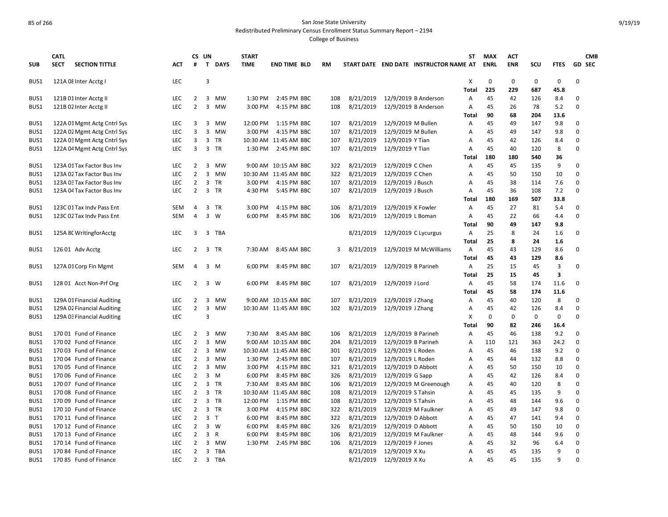Redistributed Preliminary Census Enrollment Status Summary Report – 2194

|            | <b>CATL</b> |                             |            | CS UN          |                |             | <b>START</b> |                       |     |           |                     |                                        | ST           | <b>MAX</b>  | <b>ACT</b> |     |                         | <b>CMB</b> |
|------------|-------------|-----------------------------|------------|----------------|----------------|-------------|--------------|-----------------------|-----|-----------|---------------------|----------------------------------------|--------------|-------------|------------|-----|-------------------------|------------|
| <b>SUB</b> | <b>SECT</b> | <b>SECTION TITTLE</b>       | <b>ACT</b> | #              | $\mathbf{T}$   | <b>DAYS</b> | <b>TIME</b>  | <b>END TIME BLD</b>   | RM  |           |                     | START DATE END DATE INSTRUCTOR NAME AT |              | <b>ENRL</b> | <b>ENR</b> | SCU | <b>FTES</b>             | GD SEC     |
| BUS1       |             | 121A 08 Inter Acctg I       | <b>LEC</b> |                | 3              |             |              |                       |     |           |                     |                                        | х            | 0           | 0          | 0   | 0                       | 0          |
|            |             |                             |            |                |                |             |              |                       |     |           |                     |                                        | <b>Total</b> | 225         | 229        | 687 | 45.8                    |            |
| BUS1       |             | 121B 01 Inter Acctg II      | <b>LEC</b> | $\overline{2}$ | 3              | MW          | 1:30 PM      | 2:45 PM BBC           | 108 | 8/21/2019 |                     | 12/9/2019 B Anderson                   | Α            | 45          | 42         | 126 | 8.4                     | 0          |
| BUS1       |             | 121B 02 Inter Acctg II      | LEC        | $\overline{2}$ |                | 3 MW        | 3:00 PM      | 4:15 PM BBC           | 108 | 8/21/2019 |                     | 12/9/2019 B Anderson                   | А            | 45          | 26         | 78  | 5.2                     | 0          |
|            |             |                             |            |                |                |             |              |                       |     |           |                     |                                        | Total        | 90          | 68         | 204 | 13.6                    |            |
| BUS1       |             | 122A 01 Mgmt Actg Cntrl Sys | <b>LEC</b> | 3              |                | 3 MW        | 12:00 PM     | 1:15 PM BBC           | 107 | 8/21/2019 | 12/9/2019 M Bullen  |                                        | Α            | 45          | 49         | 147 | 9.8                     | 0          |
| BUS1       |             | 122A 02 Mgmt Actg Cntrl Sys | LEC        | 3              | 3              | <b>MW</b>   | 3:00 PM      | 4:15 PM BBC           | 107 | 8/21/2019 | 12/9/2019 M Bullen  |                                        | Α            | 45          | 49         | 147 | 9.8                     | 0          |
| BUS1       |             | 122A 03 Mgmt Actg Cntrl Sys | LEC        | 3              | 3              | TR          |              | 10:30 AM 11:45 AM BBC | 107 | 8/21/2019 | 12/9/2019 Y Tian    |                                        | А            | 45          | 42         | 126 | 8.4                     | 0          |
| BUS1       |             | 122A 04 Mgmt Actg Cntrl Sys | <b>LEC</b> | 3              | 3              | <b>TR</b>   | 1:30 PM      | 2:45 PM BBC           | 107 | 8/21/2019 | 12/9/2019 Y Tian    |                                        | A            | 45          | 40         | 120 | 8                       | 0          |
|            |             |                             |            |                |                |             |              |                       |     |           |                     |                                        | Total        | 180         | 180        | 540 | 36                      |            |
| BUS1       |             | 123A 01 Tax Factor Bus Inv  | <b>LEC</b> | $\overline{2}$ | 3              | MW          |              | 9:00 AM 10:15 AM BBC  | 322 | 8/21/2019 | 12/9/2019 C Chen    |                                        | A            | 45          | 45         | 135 | 9                       | 0          |
| BUS1       |             | 123A 02 Tax Factor Bus Inv  | <b>LEC</b> | $\overline{2}$ | 3              | MW          |              | 10:30 AM 11:45 AM BBC | 322 | 8/21/2019 | 12/9/2019 C Chen    |                                        | A            | 45          | 50         | 150 | 10                      | 0          |
| BUS1       |             | 123A 03 Tax Factor Bus Inv  | <b>LEC</b> | $\overline{2}$ | 3              | <b>TR</b>   | 3:00 PM      | 4:15 PM BBC           | 107 | 8/21/2019 | 12/9/2019 J Busch   |                                        | A            | 45          | 38         | 114 | 7.6                     | 0          |
| BUS1       |             | 123A 04 Tax Factor Bus Inv  | LEC        | $\overline{2}$ |                | 3 TR        | 4:30 PM      | 5:45 PM BBC           | 107 | 8/21/2019 | 12/9/2019 J Busch   |                                        | Α            | 45          | 36         | 108 | 7.2                     | 0          |
|            |             |                             |            |                |                |             |              |                       |     |           |                     |                                        | Total        | 180         | 169        | 507 | 33.8                    |            |
| BUS1       |             | 123C 01 Tax Indv Pass Ent   | <b>SEM</b> | 4              | 3              | <b>TR</b>   | 3:00 PM      | 4:15 PM BBC           | 106 | 8/21/2019 | 12/9/2019 K Fowler  |                                        | Α            | 45          | 27         | 81  | 5.4                     | 0          |
| BUS1       |             | 123C 02 Tax Indv Pass Ent   | <b>SEM</b> | 4              | 3              | W           | 6:00 PM      | 8:45 PM BBC           | 106 | 8/21/2019 | 12/9/2019 L Boman   |                                        | A            | 45          | 22         | 66  | 4.4                     | 0          |
|            |             |                             |            |                |                |             |              |                       |     |           |                     |                                        | Total        | 90          | 49         | 147 | 9.8                     |            |
| BUS1       |             | 125A 8C WritingforAcctg     | <b>LEC</b> | 3              | 3              | TBA         |              |                       |     | 8/21/2019 |                     | 12/9/2019 C Lycurgus                   | Α            | 25          | 8          | 24  | 1.6                     | 0          |
|            |             |                             |            |                |                |             |              |                       |     |           |                     |                                        | Total        | 25          | 8          | 24  | 1.6                     |            |
| BUS1       |             | 126 01 Adv Acctg            | <b>LEC</b> | 2              | 3              | TR          | 7:30 AM      | 8:45 AM BBC           | 3   | 8/21/2019 |                     | 12/9/2019 M McWilliams                 | Α            | 45          | 43         | 129 | 8.6                     | 0          |
|            |             |                             |            |                |                |             |              |                       |     |           |                     |                                        | Total        | 45          | 43         | 129 | 8.6                     |            |
| BUS1       |             | 127A 01 Corp Fin Mgmt       | <b>SEM</b> | 4              |                | 3 M         | 6:00 PM      | 8:45 PM BBC           | 107 | 8/21/2019 | 12/9/2019 B Parineh |                                        | Α            | 25          | 15         | 45  | 3                       | 0          |
|            |             |                             |            |                |                |             |              |                       |     |           |                     |                                        | Total        | 25          | 15         | 45  | $\overline{\mathbf{3}}$ |            |
| BUS1       |             | 128 01 Acct Non-Prf Org     | LEC        | 2              | 3              | W           | 6:00 PM      | 8:45 PM BBC           | 107 | 8/21/2019 | 12/9/2019 J Lord    |                                        | Α            | 45          | 58         | 174 | 11.6                    | 0          |
|            |             |                             |            |                |                |             |              |                       |     |           |                     |                                        | Total        | 45          | 58         | 174 | 11.6                    |            |
| BUS1       |             | 129A 01 Financial Auditing  | <b>LEC</b> | 2              | 3              | <b>MW</b>   |              | 9:00 AM 10:15 AM BBC  | 107 | 8/21/2019 | 12/9/2019 J Zhang   |                                        | Α            | 45          | 40         | 120 | 8                       | 0          |
| BUS1       |             | 129A 02 Financial Auditing  | LEC        | $\overline{2}$ | 3              | <b>MW</b>   |              | 10:30 AM 11:45 AM BBC | 102 | 8/21/2019 | 12/9/2019 J Zhang   |                                        | Α            | 45          | 42         | 126 | 8.4                     | 0          |
| BUS1       |             | 129A 03 Financial Auditing  | <b>LEC</b> |                | 3              |             |              |                       |     |           |                     |                                        | Х            | 0           | 0          | 0   | 0                       | 0          |
|            |             |                             |            |                |                |             |              |                       |     |           |                     |                                        | Total        | 90          | 82         | 246 | 16.4                    |            |
| BUS1       |             | 170 01 Fund of Finance      | <b>LEC</b> | $\overline{2}$ | 3              | MW          | 7:30 AM      | 8:45 AM BBC           | 106 | 8/21/2019 | 12/9/2019 B Parineh |                                        | Α            | 45          | 46         | 138 | 9.2                     | 0          |
| BUS1       |             | 17002 Fund of Finance       | <b>LEC</b> | $\overline{2}$ | 3              | <b>MW</b>   |              | 9:00 AM 10:15 AM BBC  | 204 | 8/21/2019 | 12/9/2019 B Parineh |                                        | А            | 110         | 121        | 363 | 24.2                    | 0          |
| BUS1       |             | 17003 Fund of Finance       | <b>LEC</b> | $\overline{2}$ | 3              | MW          |              | 10:30 AM 11:45 AM BBC | 301 | 8/21/2019 | 12/9/2019 L Roden   |                                        | А            | 45          | 46         | 138 | 9.2                     | 0          |
| BUS1       |             | 170 04 Fund of Finance      | <b>LEC</b> | $\overline{2}$ | 3              | <b>MW</b>   | 1:30 PM      | 2:45 PM BBC           | 107 | 8/21/2019 | 12/9/2019 L Roden   |                                        | A            | 45          | 44         | 132 | 8.8                     | 0          |
| BUS1       |             | 170 05 Fund of Finance      | LEC        | $\overline{2}$ |                | 3 MW        | 3:00 PM      | 4:15 PM BBC           | 321 | 8/21/2019 | 12/9/2019 D Abbott  |                                        | А            | 45          | 50         | 150 | 10                      | 0          |
| BUS1       |             | 170 06 Fund of Finance      | <b>LEC</b> | $\overline{2}$ | 3              | M           | 6:00 PM      | 8:45 PM BBC           | 326 | 8/21/2019 | 12/9/2019 G Sapp    |                                        | Α            | 45          | 42         | 126 | 8.4                     | 0          |
| BUS1       |             | 170 07 Fund of Finance      | <b>LEC</b> | $\overline{2}$ |                | 3 TR        | 7:30 AM      | 8:45 AM BBC           | 106 | 8/21/2019 |                     | 12/9/2019 M Greenough                  | Α            | 45          | 40         | 120 | 8                       | 0          |
| BUS1       |             | 17008 Fund of Finance       | <b>LEC</b> | $\overline{2}$ | 3              | <b>TR</b>   |              | 10:30 AM 11:45 AM BBC | 108 | 8/21/2019 | 12/9/2019 S Tahsin  |                                        | A            | 45          | 45         | 135 | 9                       | 0          |
| BUS1       |             | 170 09 Fund of Finance      | LEC        | $\overline{2}$ |                | 3 TR        | 12:00 PM     | 1:15 PM BBC           | 108 | 8/21/2019 | 12/9/2019 S Tahsin  |                                        | Α            | 45          | 48         | 144 | 9.6                     | 0          |
| BUS1       |             | 170 10 Fund of Finance      | <b>LEC</b> | $\overline{2}$ | 3              | <b>TR</b>   | 3:00 PM      | 4:15 PM BBC           | 322 | 8/21/2019 |                     | 12/9/2019 M Faulkner                   | A            | 45          | 49         | 147 | 9.8                     | 0          |
| BUS1       |             | 170 11 Fund of Finance      | <b>LEC</b> | $\overline{2}$ | 3 <sub>7</sub> |             | 6:00 PM      | 8:45 PM BBC           | 322 | 8/21/2019 | 12/9/2019 D Abbott  |                                        | A            | 45          | 47         | 141 | 9.4                     | $\Omega$   |
| BUS1       |             | 170 12 Fund of Finance      | <b>LEC</b> | $\overline{2}$ | 3              | W           | 6:00 PM      | 8:45 PM BBC           | 326 | 8/21/2019 | 12/9/2019 D Abbott  |                                        | A            | 45          | 50         | 150 | 10                      | 0          |
| BUS1       |             | 170 13 Fund of Finance      | <b>LEC</b> | $\overline{2}$ | 3 R            |             | 6:00 PM      | 8:45 PM BBC           | 106 | 8/21/2019 |                     | 12/9/2019 M Faulkner                   | A            | 45          | 48         | 144 | 9.6                     | 0          |
| BUS1       |             | 170 14 Fund of Finance      | <b>LEC</b> | $\overline{2}$ | 3              | <b>MW</b>   | 1:30 PM      | 2:45 PM BBC           | 106 | 8/21/2019 | 12/9/2019 F Jones   |                                        | A            | 45          | 32         | 96  | 6.4                     | 0          |
| BUS1       |             | 170 84 Fund of Finance      | LEC        | $\overline{2}$ | $\overline{3}$ | TBA         |              |                       |     | 8/21/2019 | 12/9/2019 X Xu      |                                        | A            | 45          | 45         | 135 | 9                       | 0          |
| BUS1       |             | 170 85 Fund of Finance      | LEC        | $\overline{2}$ | $\overline{3}$ | TBA         |              |                       |     | 8/21/2019 | 12/9/2019 X Xu      |                                        | A            | 45          | 45         | 135 | 9                       | 0          |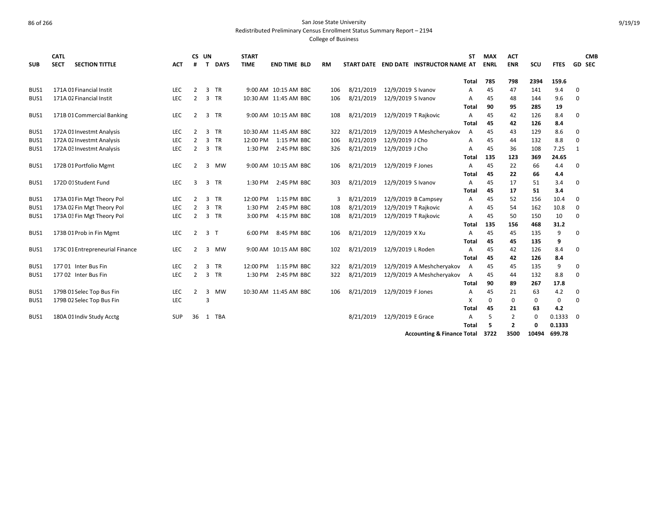Redistributed Preliminary Census Enrollment Status Summary Report – 2194

| <b>SUB</b> | <b>CATL</b><br><b>SECT</b> | <b>SECTION TITTLE</b>           | ACT        | CS UN<br>#     | T              | <b>DAYS</b> | <b>START</b><br><b>TIME</b> | <b>END TIME BLD</b>   | RM  |           |                      | START DATE END DATE INSTRUCTOR NAME AT | <b>ST</b>    | <b>MAX</b><br><b>ENRL</b> | <b>ACT</b><br><b>ENR</b>         | SCU    | <b>FTES</b>      |          | <b>CMB</b><br><b>GD SEC</b> |
|------------|----------------------------|---------------------------------|------------|----------------|----------------|-------------|-----------------------------|-----------------------|-----|-----------|----------------------|----------------------------------------|--------------|---------------------------|----------------------------------|--------|------------------|----------|-----------------------------|
|            |                            |                                 |            |                |                |             |                             |                       |     |           |                      |                                        | <b>Total</b> | 785                       | 798                              | 2394   | 159.6            |          |                             |
| BUS1       |                            | 171A 01 Financial Instit        | <b>LEC</b> | 2              | 3              | TR          |                             | 9:00 AM 10:15 AM BBC  | 106 | 8/21/2019 | 12/9/2019 S Ivanov   |                                        | A            | 45                        | 47                               | 141    | 9.4              | $\Omega$ |                             |
| BUS1       |                            | 171A 02 Financial Instit        | <b>LEC</b> | 2              | 3              | <b>TR</b>   |                             | 10:30 AM 11:45 AM BBC | 106 | 8/21/2019 | 12/9/2019 S Ivanov   |                                        | A            | 45                        | 48                               | 144    | 9.6              | $\Omega$ |                             |
|            |                            |                                 |            |                |                |             |                             |                       |     |           |                      |                                        | Total        | 90                        | 95                               | 285    | 19               |          |                             |
| BUS1       |                            | 171B 01 Commercial Banking      | LEC        | 2              | 3              | TR          |                             | 9:00 AM 10:15 AM BBC  | 108 | 8/21/2019 | 12/9/2019 T Rajkovic |                                        | A            | 45                        | 42                               | 126    | 8.4              | 0        |                             |
|            |                            |                                 |            |                |                |             |                             |                       |     |           |                      |                                        | Total        | 45                        | 42                               | 126    | 8.4              |          |                             |
| BUS1       |                            | 172A 01 Investmt Analysis       | LEC        | 2              | 3              | TR          |                             | 10:30 AM 11:45 AM BBC | 322 | 8/21/2019 |                      | 12/9/2019 A Meshcheryakov              | A            | 45                        | 43                               | 129    | 8.6              | 0        |                             |
| BUS1       |                            | 172A 02 Investmt Analysis       | LEC        | 2              | 3              | <b>TR</b>   | 12:00 PM                    | 1:15 PM BBC           | 106 | 8/21/2019 | 12/9/2019 J Cho      |                                        | A            | 45                        | 44                               | 132    | 8.8              | 0        |                             |
| BUS1       |                            | 172A 03 Investmt Analysis       | LEC        | $\overline{2}$ | 3              | TR          | 1:30 PM                     | 2:45 PM BBC           | 326 | 8/21/2019 | 12/9/2019 J Cho      |                                        | A            | 45                        | 36                               | 108    | 7.25             | 1        |                             |
|            |                            |                                 |            |                |                |             |                             |                       |     |           |                      |                                        | Total        | 135                       | 123                              | 369    | 24.65            |          |                             |
| BUS1       |                            | 172B 01 Portfolio Mgmt          | <b>LEC</b> | 2              | 3              | MW          |                             | 9:00 AM 10:15 AM BBC  | 106 | 8/21/2019 | 12/9/2019 F Jones    |                                        | A            | 45                        | 22                               | 66     | 4.4              | $\Omega$ |                             |
|            |                            |                                 |            |                |                |             |                             |                       |     |           |                      |                                        | Total        | 45                        | 22                               | 66     | 4.4              |          |                             |
| BUS1       |                            | 172D 01 Student Fund            | LEC        | 3              | 3              | TR          | 1:30 PM                     | 2:45 PM BBC           | 303 | 8/21/2019 | 12/9/2019 S Ivanov   |                                        | A            | 45                        | 17                               | 51     | 3.4              | $\Omega$ |                             |
|            |                            |                                 |            |                |                |             |                             |                       |     |           |                      |                                        | Total        | 45                        | 17                               | 51     | 3.4              |          |                             |
| BUS1       |                            | 173A 01 Fin Mgt Theory Pol      | LEC        | 2              | 3              | <b>TR</b>   | 12:00 PM                    | 1:15 PM BBC           | 3   | 8/21/2019 |                      | 12/9/2019 B Campsey                    | A            | 45                        | 52                               | 156    | 10.4             | 0        |                             |
| BUS1       |                            | 173A 02 Fin Mgt Theory Pol      | LEC        | $\overline{2}$ | 3              | <b>TR</b>   | 1:30 PM                     | 2:45 PM BBC           | 108 | 8/21/2019 | 12/9/2019 T Rajkovic |                                        | А            | 45                        | 54                               | 162    | 10.8             | 0        |                             |
| BUS1       |                            | 173A 03 Fin Mgt Theory Pol      | LEC        | $\overline{2}$ | 3 TR           |             | 3:00 PM                     | 4:15 PM BBC           | 108 | 8/21/2019 | 12/9/2019 T Rajkovic |                                        | A            | 45                        | 50                               | 150    | 10               | $\Omega$ |                             |
|            |                            |                                 |            |                |                |             |                             |                       |     |           |                      |                                        | Total        | 135                       | 156                              | 468    | 31.2             |          |                             |
| BUS1       |                            | 173B 01 Prob in Fin Mgmt        | LEC        | $\overline{2}$ | 3 <sub>1</sub> |             | 6:00 PM                     | 8:45 PM BBC           | 106 | 8/21/2019 | 12/9/2019 X Xu       |                                        | A            | 45                        | 45                               | 135    | 9                | O        |                             |
|            |                            |                                 |            |                |                |             |                             |                       |     |           |                      |                                        | <b>Total</b> | 45                        | 45                               | 135    | 9                |          |                             |
| BUS1       |                            | 173C 01 Entrepreneurial Finance | LEC        | 2              | 3              | MW          |                             | 9:00 AM 10:15 AM BBC  | 102 | 8/21/2019 | 12/9/2019 L Roden    |                                        | А            | 45                        | 42                               | 126    | 8.4              | $\Omega$ |                             |
|            |                            |                                 |            |                |                |             |                             |                       |     |           |                      |                                        | Total        | 45                        | 42                               | 126    | 8.4              |          |                             |
| BUS1       |                            | 177 01 Inter Bus Fin            | <b>LEC</b> | 2              | 3              | TR          | 12:00 PM                    | 1:15 PM BBC           | 322 | 8/21/2019 |                      | 12/9/2019 A Meshcheryakov              | A            | 45                        | 45                               | 135    | 9                | $\Omega$ |                             |
| BUS1       |                            | 177 02 Inter Bus Fin            | <b>LEC</b> | 2              | 3              | TR          | 1:30 PM                     | 2:45 PM BBC           | 322 | 8/21/2019 |                      | 12/9/2019 A Meshcheryakov              | A            | 45                        | 44                               | 132    | 8.8              | $\Omega$ |                             |
|            |                            |                                 |            |                |                |             |                             |                       |     |           |                      |                                        | Total        | 90                        | 89                               | 267    | 17.8             |          |                             |
| BUS1       |                            | 179B 01 Selec Top Bus Fin       | <b>LEC</b> | 2              | 3              | <b>MW</b>   |                             | 10:30 AM 11:45 AM BBC | 106 | 8/21/2019 | 12/9/2019 F Jones    |                                        | A            | 45                        | 21                               | 63     | 4.2              | 0        |                             |
| BUS1       |                            | 179B 02 Selec Top Bus Fin       | <b>LEC</b> |                | 3              |             |                             |                       |     |           |                      |                                        | X            | 0                         | 0                                | 0      | 0                | $\Omega$ |                             |
|            |                            |                                 |            |                |                |             |                             |                       |     |           |                      |                                        | <b>Total</b> | 45                        | 21                               | 63     | 4.2              |          |                             |
| BUS1       |                            | 180A 01 Indiv Study Acctg       | <b>SUP</b> | 36             | 1              | TBA         |                             |                       |     | 8/21/2019 | 12/9/2019 E Grace    |                                        | A<br>Total   | 5<br>5                    | $\overline{2}$<br>$\overline{2}$ | 0<br>0 | 0.1333<br>0.1333 | 0        |                             |
|            |                            |                                 |            |                |                |             |                             |                       |     |           |                      | <b>Accounting &amp; Finance Total</b>  |              | 3722                      | 3500                             | 10494  | 699.78           |          |                             |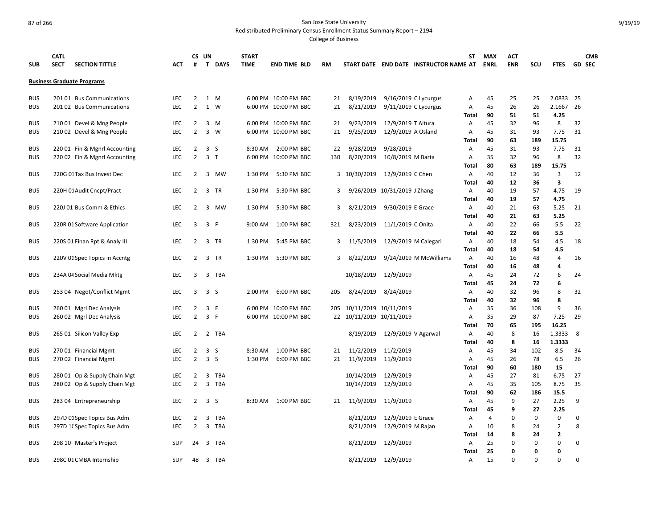Redistributed Preliminary Census Enrollment Status Summary Report – 2194

| <b>SUB</b> | <b>CATL</b><br><b>SECT</b><br><b>SECTION TITTLE</b> | <b>ACT</b> | #              | CS UN<br>T DAYS                | <b>START</b><br><b>TIME</b> | <b>END TIME BLD</b>  | <b>RM</b> |                          |                              | START DATE END DATE INSTRUCTOR NAME AT | ST                | <b>MAX</b><br><b>ENRL</b> | <b>ACT</b><br><b>ENR</b> | SCU         | <b>FTES</b>    | <b>CMB</b><br>GD SEC |
|------------|-----------------------------------------------------|------------|----------------|--------------------------------|-----------------------------|----------------------|-----------|--------------------------|------------------------------|----------------------------------------|-------------------|---------------------------|--------------------------|-------------|----------------|----------------------|
|            | <b>Business Graduate Programs</b>                   |            |                |                                |                             |                      |           |                          |                              |                                        |                   |                           |                          |             |                |                      |
| <b>BUS</b> | 20101 Bus Communications                            | <b>LEC</b> | $\overline{2}$ | 1 M                            |                             | 6:00 PM 10:00 PM BBC | 21        | 8/19/2019                | 9/16/2019 C Lycurgus         |                                        | Α                 | 45                        | 25                       | 25          | 2.0833 25      |                      |
| <b>BUS</b> | 201 02 Bus Communications                           | <b>LEC</b> | $\overline{2}$ | 1 W                            |                             | 6:00 PM 10:00 PM BBC | 21        | 8/21/2019                | 9/11/2019 C Lycurgus         |                                        | Α                 | 45                        | 26                       | 26          | 2.1667 26      |                      |
|            |                                                     |            |                |                                |                             |                      |           |                          |                              |                                        | <b>Total</b>      | 90                        | 51                       | 51          | 4.25           |                      |
| <b>BUS</b> | 210 01 Devel & Mng People                           | LEC        | $\overline{2}$ | 3<br>M                         |                             | 6:00 PM 10:00 PM BBC | 21        | 9/23/2019                | 12/9/2019 T Altura           |                                        | Α                 | 45                        | 32                       | 96          | 8              | 32                   |
| <b>BUS</b> | 210 02 Devel & Mng People                           | <b>LEC</b> | $\overline{2}$ | 3<br>W                         |                             | 6:00 PM 10:00 PM BBC | 21        | 9/25/2019                | 12/9/2019 A Osland           |                                        | Α                 | 45                        | 31                       | 93          | 7.75           | 31                   |
|            |                                                     |            |                |                                |                             |                      |           |                          |                              |                                        | Total             | 90                        | 63                       | 189         | 15.75          |                      |
| <b>BUS</b> | 220 01 Fin & Mgnrl Accounting                       | <b>LEC</b> | $\overline{2}$ | 3<br>S                         | 8:30 AM                     | 2:00 PM BBC          | 22        | 9/28/2019                | 9/28/2019                    |                                        | Α                 | 45                        | 31                       | 93          | 7.75           | 31                   |
| <b>BUS</b> | 220 02 Fin & Mgnrl Accounting                       | LEC        | $\overline{2}$ | 3 <sub>T</sub>                 |                             | 6:00 PM 10:00 PM BBC | 130       | 8/20/2019                | 10/8/2019 M Barta            |                                        | Α                 | 35                        | 32                       | 96          | 8              | 32                   |
|            |                                                     |            |                |                                |                             |                      |           |                          |                              |                                        | Total             | 80                        | 63                       | 189         | 15.75          |                      |
| <b>BUS</b> | 220G 01 Tax Bus Invest Dec                          | <b>LEC</b> | $\overline{2}$ | $\overline{3}$<br>МW           | 1:30 PM                     | 5:30 PM BBC          |           | 3 10/30/2019             | 12/9/2019 C Chen             |                                        | Α<br><b>Total</b> | 40<br>40                  | 12<br>12                 | 36<br>36    | 3<br>3         | 12                   |
| <b>BUS</b> | 220H 01 Audit Cncpt/Pract                           | <b>LEC</b> | $\overline{2}$ | 3 TR                           | 1:30 PM                     | 5:30 PM BBC          | 3         |                          | 9/26/2019 10/31/2019 J Zhang |                                        | Α                 | 40                        | 19                       | 57          | 4.75           | 19                   |
|            |                                                     |            |                |                                |                             |                      |           |                          |                              |                                        | Total             | 40                        | 19                       | 57          | 4.75           |                      |
| <b>BUS</b> | 220J 01 Bus Comm & Ethics                           | <b>LEC</b> | $\overline{2}$ | $\overline{3}$<br>MW           | 1:30 PM                     | 5:30 PM BBC          | 3         | 8/21/2019                | 9/30/2019 E Grace            |                                        | Α                 | 40                        | 21                       | 63          | 5.25           | 21                   |
|            |                                                     |            |                |                                |                             |                      |           |                          |                              |                                        | <b>Total</b>      | 40                        | 21                       | 63          | 5.25           |                      |
| <b>BUS</b> | 220R 01 Software Application                        | <b>LEC</b> | 3              | 3 F                            | 9:00 AM                     | 1:00 PM BBC          | 321       | 8/23/2019                | 11/1/2019 C Onita            |                                        | Α                 | 40                        | 22                       | 66          | 5.5            | 22                   |
|            |                                                     |            |                |                                |                             |                      |           |                          |                              |                                        | Total             | 40                        | 22                       | 66          | 5.5            |                      |
| <b>BUS</b> | 220S 01 Finan Rpt & Analy III                       | <b>LEC</b> | 2              | 3 TR                           | 1:30 PM                     | 5:45 PM BBC          |           | 3 11/5/2019              | 12/9/2019 M Calegari         |                                        | Α                 | 40                        | 18                       | 54          | 4.5            | 18                   |
|            |                                                     |            |                |                                |                             |                      |           |                          |                              |                                        | Total             | 40                        | 18                       | 54          | 4.5            |                      |
| <b>BUS</b> | 220V 01 Spec Topics in Accntg                       | <b>LEC</b> | $\overline{2}$ | 3 TR                           | 1:30 PM                     | 5:30 PM BBC          | 3         | 8/22/2019                |                              | 9/24/2019 M McWilliams                 | Α                 | 40                        | 16                       | 48          | $\overline{4}$ | 16                   |
|            |                                                     |            |                |                                |                             |                      |           |                          |                              |                                        | <b>Total</b>      | 40                        | 16                       | 48          | 4              |                      |
| <b>BUS</b> | 234A 04 Social Media Mktg                           | <b>LEC</b> | 3              | $\overline{3}$<br>TBA          |                             |                      |           | 10/18/2019               | 12/9/2019                    |                                        | Α                 | 45                        | 24                       | 72          | 6              | 24                   |
|            |                                                     |            |                |                                |                             |                      |           |                          |                              |                                        | <b>Total</b>      | 45                        | 24                       | 72          | 6              |                      |
| <b>BUS</b> | 253 04 Negot/Conflict Mgmt                          | <b>LEC</b> | $\overline{3}$ | 3 <sup>5</sup>                 | 2:00 PM                     | 6:00 PM BBC          | 205       | 8/24/2019                | 8/24/2019                    |                                        | Α                 | 40                        | 32                       | 96          | 8              | 32                   |
|            |                                                     |            |                |                                |                             |                      |           |                          |                              |                                        | <b>Total</b>      | 40                        | 32                       | 96          | 8              |                      |
| <b>BUS</b> | 260 01 Mgrl Dec Analysis                            | LEC        | $\overline{2}$ | 3 F                            |                             | 6:00 PM 10:00 PM BBC | 205       | 10/11/2019 10/11/2019    |                              |                                        | Α                 | 35                        | 36                       | 108         | 9              | 36                   |
| <b>BUS</b> | 260 02 Mgrl Dec Analysis                            | <b>LEC</b> | $\overline{2}$ | 3 F                            |                             | 6:00 PM 10:00 PM BBC |           | 22 10/11/2019 10/11/2019 |                              |                                        | Α                 | 35                        | 29                       | 87          | 7.25           | 29                   |
|            |                                                     |            |                |                                |                             |                      |           |                          |                              |                                        | <b>Total</b>      | 70                        | 65                       | 195         | 16.25          |                      |
| <b>BUS</b> | 265 01 Silicon Valley Exp                           | <b>LEC</b> | $\overline{2}$ | 2 TBA                          |                             |                      |           | 8/19/2019                | 12/9/2019 V Agarwal          |                                        | Α                 | 40                        | 8                        | 16          | 1.3333         | 8                    |
|            |                                                     |            |                |                                |                             |                      |           |                          |                              |                                        | <b>Total</b>      | 40                        | 8                        | 16          | 1.3333         |                      |
| <b>BUS</b> | 270 01 Financial Mgmt                               | <b>LEC</b> | $\overline{2}$ | 3 <sub>5</sub>                 | 8:30 AM                     | 1:00 PM BBC          | 21        | 11/2/2019                | 11/2/2019                    |                                        | Α                 | 45                        | 34                       | 102         | 8.5            | 34                   |
| <b>BUS</b> | 270 02 Financial Mgmt                               | LEC        | $\overline{2}$ | $\overline{3}$<br>S            | 1:30 PM                     | 6:00 PM BBC          | 21        | 11/9/2019                | 11/9/2019                    |                                        | Α<br>Total        | 45<br>90                  | 26<br>60                 | 78<br>180   | 6.5<br>15      | 26                   |
| <b>BUS</b> | 280 01 Op & Supply Chain Mgt                        | <b>LEC</b> | $\overline{2}$ | 3<br><b>TBA</b>                |                             |                      |           | 10/14/2019               | 12/9/2019                    |                                        | Α                 | 45                        | 27                       | 81          | 6.75           | 27                   |
| <b>BUS</b> | 280 02 Op & Supply Chain Mgt                        | <b>LEC</b> | $\overline{2}$ | 3<br>TBA                       |                             |                      |           | 10/14/2019               | 12/9/2019                    |                                        | Α                 | 45                        | 35                       | 105         | 8.75           | 35                   |
|            |                                                     |            |                |                                |                             |                      |           |                          |                              |                                        | Total             | 90                        | 62                       | 186         | 15.5           |                      |
| <b>BUS</b> | 283 04 Entrepreneurship                             | <b>LEC</b> |                | $2 \quad 3 \quad S$            | 8:30 AM                     | 1:00 PM BBC          | 21        |                          | 11/9/2019 11/9/2019          |                                        | Α                 | 45                        | 9                        | 27          | 2.25           | 9                    |
|            |                                                     |            |                |                                |                             |                      |           |                          |                              |                                        | <b>Total</b>      | 45                        | 9                        | 27          | 2.25           |                      |
| <b>BUS</b> | 297D 01 Spec Topics Bus Adm                         | LEC        | $\overline{2}$ | <b>TBA</b><br>3                |                             |                      |           | 8/21/2019                | 12/9/2019 E Grace            |                                        | A                 | $\overline{4}$            | $\Omega$                 | $\mathbf 0$ | 0              | 0                    |
| <b>BUS</b> | 297D 10 Spec Topics Bus Adm                         | <b>LEC</b> | $\overline{2}$ | 3<br>TBA                       |                             |                      |           | 8/21/2019                | 12/9/2019 M Rajan            |                                        | Α                 | 10                        | 8                        | 24          | $\overline{2}$ | 8                    |
|            |                                                     |            |                |                                |                             |                      |           |                          |                              |                                        | <b>Total</b>      | 14                        | 8                        | 24          | 2              |                      |
| <b>BUS</b> | 298 10 Master's Project                             | <b>SUP</b> | 24             | $\overline{3}$<br><b>TBA</b>   |                             |                      |           | 8/21/2019                | 12/9/2019                    |                                        | Α                 | 25                        | $\Omega$                 | 0           | 0              | 0                    |
|            |                                                     |            |                |                                |                             |                      |           |                          |                              |                                        | Total             | 25                        | 0                        | 0           | 0              |                      |
| <b>BUS</b> | 298C 01 CMBA Internship                             | <b>SUP</b> | 48             | $\overline{\mathbf{3}}$<br>TBA |                             |                      |           |                          | 8/21/2019 12/9/2019          |                                        | Α                 | 15                        | $\Omega$                 | $\Omega$    | $\Omega$       | 0                    |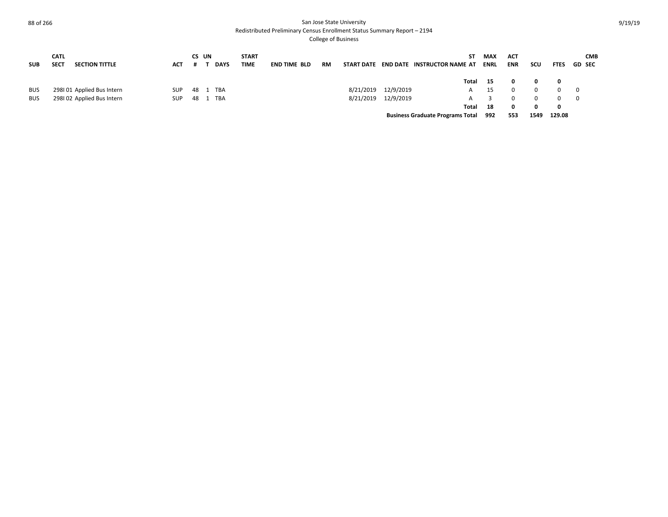Redistributed Preliminary Census Enrollment Status Summary Report – 2194

| <b>SUB</b> | <b>CATL</b><br><b>SECT</b> | <b>SECTION TITTLE</b>     | <b>ACT</b> |    | CS UN<br><b>DAYS</b> | <b>START</b><br><b>TIME</b> | <b>END TIME BLD</b> | <b>RM</b> | START DATE |           | ST.<br><b>END DATE INSTRUCTOR NAME AT</b> | <b>MAX</b><br><b>ENRL</b> | <b>ACT</b><br><b>ENR</b> | scu  | <b>FTES</b> | <b>CMB</b><br><b>GD SEC</b> |
|------------|----------------------------|---------------------------|------------|----|----------------------|-----------------------------|---------------------|-----------|------------|-----------|-------------------------------------------|---------------------------|--------------------------|------|-------------|-----------------------------|
|            |                            |                           |            |    |                      |                             |                     |           |            |           | Total                                     | - 15                      | 0                        | 0    | 0           |                             |
| <b>BUS</b> |                            | 298101 Applied Bus Intern | <b>SUP</b> | 48 | TBA                  |                             |                     |           | 8/21/2019  | 12/9/2019 |                                           | 15                        | 0                        | 0    | $\Omega$    | $\overline{\phantom{0}}$    |
| <b>BUS</b> |                            | 298102 Applied Bus Intern | <b>SUP</b> | 48 | <b>TBA</b>           |                             |                     |           | 8/21/2019  | 12/9/2019 |                                           |                           | 0                        | 0    | $\Omega$    | $\overline{\mathbf{0}}$     |
|            |                            |                           |            |    |                      |                             |                     |           |            |           | Total                                     | -18                       | 0                        | 0    | 0           |                             |
|            |                            |                           |            |    |                      |                             |                     |           |            |           | <b>Business Graduate Programs Total</b>   | 992                       | 553                      | 1549 | 129.08      |                             |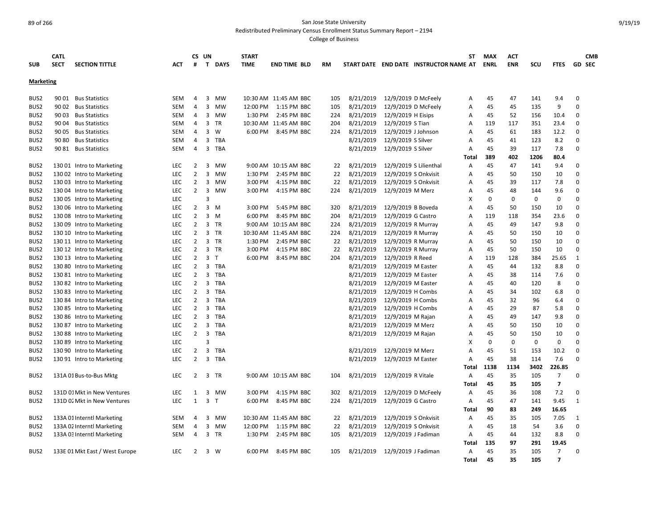Redistributed Preliminary Census Enrollment Status Summary Report – 2194

| <b>SUB</b>       | <b>CATL</b><br><b>SECT</b><br><b>SECTION TITTLE</b> | <b>ACT</b> | #              | CS UN<br>T.    | <b>DAYS</b> | <b>START</b><br><b>TIME</b> | <b>END TIME BLD</b>   | RM  |           |                        | START DATE END DATE INSTRUCTOR NAME AT | <b>ST</b> | <b>MAX</b><br><b>ENRL</b> | ACT<br><b>ENR</b> | SCU         | <b>FTES</b>    | <b>GD SEC</b> | <b>CMB</b> |
|------------------|-----------------------------------------------------|------------|----------------|----------------|-------------|-----------------------------|-----------------------|-----|-----------|------------------------|----------------------------------------|-----------|---------------------------|-------------------|-------------|----------------|---------------|------------|
| <b>Marketing</b> |                                                     |            |                |                |             |                             |                       |     |           |                        |                                        |           |                           |                   |             |                |               |            |
| BUS <sub>2</sub> | 90 01<br><b>Bus Statistics</b>                      | <b>SEM</b> | 4              | 3              | <b>MW</b>   |                             | 10:30 AM 11:45 AM BBC | 105 | 8/21/2019 | 12/9/2019 D McFeely    |                                        | Α         | 45                        | 47                | 141         | 9.4            | 0             |            |
| BUS <sub>2</sub> | 90 02<br><b>Bus Statistics</b>                      | <b>SEM</b> | 4              | 3              | <b>MW</b>   | 12:00 PM                    | 1:15 PM BBC           | 105 | 8/21/2019 | 12/9/2019 D McFeely    |                                        | А         | 45                        | 45                | 135         | 9              | $\Omega$      |            |
| BUS <sub>2</sub> | 90 03<br><b>Bus Statistics</b>                      | <b>SEM</b> | 4              | 3              | <b>MW</b>   | 1:30 PM                     | 2:45 PM BBC           | 224 | 8/21/2019 | 12/9/2019 H Eisips     |                                        | A         | 45                        | 52                | 156         | 10.4           | 0             |            |
| BUS <sub>2</sub> | 90 04<br><b>Bus Statistics</b>                      | <b>SEM</b> | 4              | 3              | <b>TR</b>   |                             | 10:30 AM 11:45 AM BBC | 204 | 8/21/2019 | 12/9/2019 S Tian       |                                        | Α         | 119                       | 117               | 351         | 23.4           | $\Omega$      |            |
| BUS <sub>2</sub> | 90 05<br><b>Bus Statistics</b>                      | <b>SEM</b> | 4              | 3              | W           | 6:00 PM                     | 8:45 PM BBC           | 224 | 8/21/2019 | 12/9/2019 J Johnson    |                                        | A         | 45                        | 61                | 183         | 12.2           | $\Omega$      |            |
| BUS <sub>2</sub> | 90 80<br><b>Bus Statistics</b>                      | <b>SEM</b> | 4              | 3              | <b>TBA</b>  |                             |                       |     | 8/21/2019 | 12/9/2019 S Silver     |                                        | A         | 45                        | 41                | 123         | 8.2            | $\Omega$      |            |
| BUS <sub>2</sub> | 90 81 Bus Statistics                                | <b>SEM</b> | 4              | $\overline{3}$ | <b>TBA</b>  |                             |                       |     | 8/21/2019 | 12/9/2019 S Silver     |                                        | A         | 45                        | 39                | 117         | 7.8            | $\Omega$      |            |
|                  |                                                     |            |                |                |             |                             |                       |     |           |                        |                                        | Total     | 389                       | 402               | 1206        | 80.4           |               |            |
| BUS <sub>2</sub> | 130 01 Intro to Marketing                           | <b>LEC</b> | 2              | 3              | <b>MW</b>   | $9:00 \text{ AM}$           | 10:15 AM BBC          | 22  | 8/21/2019 | 12/9/2019 S Lilienthal |                                        | A         | 45                        | 47                | 141         | 9.4            | $\Omega$      |            |
| BUS <sub>2</sub> | 130 02 Intro to Marketing                           | <b>LEC</b> | $\overline{2}$ | $\overline{3}$ | <b>MW</b>   | 1:30 PM                     | 2:45 PM BBC           | 22  | 8/21/2019 | 12/9/2019 S Onkvisit   |                                        | A         | 45                        | 50                | 150         | 10             | 0             |            |
| BUS <sub>2</sub> | 130 03 Intro to Marketing                           | <b>LEC</b> | $\overline{2}$ | 3              | <b>MW</b>   | 3:00 PM                     | 4:15 PM BBC           | 22  | 8/21/2019 | 12/9/2019 S Onkvisit   |                                        | A         | 45                        | 39                | 117         | 7.8            | $\Omega$      |            |
| BUS <sub>2</sub> | 130 04 Intro to Marketing                           | <b>LEC</b> | $\overline{2}$ | $\overline{3}$ | <b>MW</b>   | 3:00 PM                     | 4:15 PM BBC           | 224 | 8/21/2019 | 12/9/2019 M Merz       |                                        | A         | 45                        | 48                | 144         | 9.6            | $\Omega$      |            |
| BUS <sub>2</sub> | 130 05 Intro to Marketing                           | <b>LEC</b> |                | 3              |             |                             |                       |     |           |                        |                                        | X         | $\Omega$                  | $\Omega$          | $\Omega$    | $\Omega$       | $\Omega$      |            |
| BUS2             | 130 06 Intro to Marketing                           | LEC        | $\overline{2}$ | $\overline{3}$ | M           | 3:00 PM                     | 5:45 PM BBC           | 320 | 8/21/2019 | 12/9/2019 B Boveda     |                                        | Α         | 45                        | 50                | 150         | 10             | $\Omega$      |            |
| BUS <sub>2</sub> | 130 08 Intro to Marketing                           | <b>LEC</b> | $\overline{2}$ | 3              | M           | 6:00 PM                     | 8:45 PM BBC           | 204 | 8/21/2019 | 12/9/2019 G Castro     |                                        | A         | 119                       | 118               | 354         | 23.6           | 0             |            |
| BUS <sub>2</sub> | 130 09 Intro to Marketing                           | <b>LEC</b> | $\overline{2}$ |                | 3 TR        | 9:00 AM                     | 10:15 AM BBC          | 224 | 8/21/2019 | 12/9/2019 R Murray     |                                        | A         | 45                        | 49                | 147         | 9.8            | 0             |            |
| BUS <sub>2</sub> | 130 10 Intro to Marketing                           | LEC        | $\overline{2}$ |                | 3 TR        |                             | 10:30 AM 11:45 AM BBC | 224 | 8/21/2019 | 12/9/2019 R Murray     |                                        | A         | 45                        | 50                | 150         | 10             | $\Omega$      |            |
| BUS <sub>2</sub> | 130 11 Intro to Marketing                           | LEC        | $\overline{2}$ |                | 3 TR        | 1:30 PM                     | 2:45 PM BBC           | 22  | 8/21/2019 | 12/9/2019 R Murray     |                                        | Α         | 45                        | 50                | 150         | 10             | $\Omega$      |            |
| BUS2             | 130 12 Intro to Marketing                           | LEC        | $\overline{2}$ |                | 3 TR        | 3:00 PM                     | 4:15 PM BBC           | 22  | 8/21/2019 | 12/9/2019 R Murray     |                                        | Α         | 45                        | 50                | 150         | 10             | $\mathbf 0$   |            |
| BUS <sub>2</sub> | 130 13 Intro to Marketing                           | LEC        | $\overline{2}$ | 3              | T           | 6:00 PM                     | 8:45 PM BBC           | 204 | 8/21/2019 | 12/9/2019 R Reed       |                                        | A         | 119                       | 128               | 384         | 25.65          | $\mathbf{1}$  |            |
| BUS2             | 130 80 Intro to Marketing                           | <b>LEC</b> | $\overline{2}$ | 3              | TBA         |                             |                       |     | 8/21/2019 | 12/9/2019 M Easter     |                                        | A         | 45                        | 44                | 132         | 8.8            | $\Omega$      |            |
| BUS <sub>2</sub> | 130 81 Intro to Marketing                           | <b>LEC</b> | $\overline{2}$ | 3              | <b>TBA</b>  |                             |                       |     | 8/21/2019 | 12/9/2019 M Easter     |                                        | A         | 45                        | 38                | 114         | 7.6            | 0             |            |
| BUS <sub>2</sub> | 130 82 Intro to Marketing                           | LEC        | $\overline{2}$ | 3              | <b>TBA</b>  |                             |                       |     | 8/21/2019 | 12/9/2019 M Easter     |                                        | Α         | 45                        | 40                | 120         | 8              | $\Omega$      |            |
| BUS <sub>2</sub> | 130 83 Intro to Marketing                           | <b>LEC</b> | $\overline{2}$ | 3              | <b>TBA</b>  |                             |                       |     | 8/21/2019 | 12/9/2019 H Combs      |                                        | Α         | 45                        | 34                | 102         | 6.8            | 0             |            |
| BUS <sub>2</sub> | 130 84 Intro to Marketing                           | <b>LEC</b> | $\overline{2}$ | 3              | TBA         |                             |                       |     | 8/21/2019 | 12/9/2019 H Combs      |                                        | Α         | 45                        | 32                | 96          | 6.4            | $\Omega$      |            |
| BUS <sub>2</sub> | 130 85 Intro to Marketing                           | <b>LEC</b> | $\overline{2}$ | 3              | <b>TBA</b>  |                             |                       |     | 8/21/2019 | 12/9/2019 H Combs      |                                        | A         | 45                        | 29                | 87          | 5.8            | 0             |            |
| BUS2             | 130 86 Intro to Marketing                           | LEC        | $\overline{2}$ | $\overline{3}$ | <b>TBA</b>  |                             |                       |     | 8/21/2019 | 12/9/2019 M Rajan      |                                        | A         | 45                        | 49                | 147         | 9.8            | $\Omega$      |            |
| BUS2             | 130 87 Intro to Marketing                           | LEC        | $\overline{2}$ | 3              | <b>TBA</b>  |                             |                       |     | 8/21/2019 | 12/9/2019 M Merz       |                                        | Α         | 45                        | 50                | 150         | 10             | $\mathbf 0$   |            |
| BUS <sub>2</sub> | 130 88 Intro to Marketing                           | LEC        | $\overline{2}$ | 3              | TBA         |                             |                       |     | 8/21/2019 | 12/9/2019 M Rajan      |                                        | Α         | 45                        | 50                | 150         | 10             | $\Omega$      |            |
| BUS <sub>2</sub> | 130 89 Intro to Marketing                           | <b>LEC</b> |                | $\overline{3}$ |             |                             |                       |     |           |                        |                                        | X         | 0                         | $\mathbf 0$       | $\mathbf 0$ | 0              | $\Omega$      |            |
| BUS <sub>2</sub> | 130 90 Intro to Marketing                           | <b>LEC</b> | $\overline{2}$ | $\overline{3}$ | TBA         |                             |                       |     | 8/21/2019 | 12/9/2019 M Merz       |                                        | A         | 45                        | 51                | 153         | 10.2           | $\Omega$      |            |
| BUS <sub>2</sub> | 130 91 Intro to Marketing                           | LEC        | $\overline{2}$ | 3              | <b>TBA</b>  |                             |                       |     | 8/21/2019 | 12/9/2019 M Easter     |                                        | A         | 45                        | 38                | 114         | 7.6            | $\Omega$      |            |
|                  |                                                     |            |                |                |             |                             |                       |     |           |                        |                                        | Total     | 1138                      | 1134              | 3402        | 226.85         |               |            |
| BUS2             | 131A 01 Bus-to-Bus Mktg                             | <b>LEC</b> | 2              | 3              | <b>TR</b>   |                             | 9:00 AM 10:15 AM BBC  | 104 | 8/21/2019 | 12/9/2019 R Vitale     |                                        | A         | 45                        | 35                | 105         | $\overline{7}$ | $\Omega$      |            |
|                  |                                                     |            |                |                |             |                             |                       |     |           |                        |                                        | Total     | 45                        | 35                | 105         | $\overline{7}$ |               |            |
| BUS <sub>2</sub> | 131D 01 Mkt in New Ventures                         | <b>LEC</b> | $\mathbf{1}$   | 3              | <b>MW</b>   | 3:00 PM                     | 4:15 PM BBC           | 302 | 8/21/2019 | 12/9/2019 D McFeely    |                                        | A         | 45                        | 36                | 108         | 7.2            | $\Omega$      |            |
| BUS2             | 131D 02 Mkt in New Ventures                         | LEC        | $\mathbf{1}$   | 3 <sub>T</sub> |             | 6:00 PM                     | 8:45 PM BBC           | 224 | 8/21/2019 | 12/9/2019 G Castro     |                                        | Α         | 45                        | 47                | 141         | 9.45           | $\mathbf{1}$  |            |
|                  |                                                     |            |                |                |             |                             |                       |     |           |                        |                                        | Total     | 90                        | 83                | 249         | 16.65          |               |            |
| BUS <sub>2</sub> | 133A 01 Interntl Marketing                          | <b>SEM</b> | 4              | 3              | <b>MW</b>   |                             | 10:30 AM 11:45 AM BBC | 22  | 8/21/2019 | 12/9/2019 S Onkvisit   |                                        | Α         | 45                        | 35                | 105         | 7.05           | $\mathbf{1}$  |            |
| BUS <sub>2</sub> | 133A 02 Interntl Marketing                          | <b>SEM</b> | 4              | 3              | MW          | 12:00 PM                    | 1:15 PM BBC           | 22  | 8/21/2019 | 12/9/2019 S Onkvisit   |                                        | A         | 45                        | 18                | 54          | 3.6            | $\mathbf 0$   |            |
| BUS <sub>2</sub> | 133A 03 Interntl Marketing                          | <b>SEM</b> | 4              | $\overline{3}$ | <b>TR</b>   | 1:30 PM                     | 2:45 PM BBC           | 105 | 8/21/2019 | 12/9/2019 J Fadiman    |                                        | A         | 45                        | 44                | 132         | 8.8            | 0             |            |
|                  |                                                     |            |                |                |             |                             |                       |     |           |                        |                                        | Total     | 135                       | 97                | 291         | 19.45          |               |            |
| BUS <sub>2</sub> | 133E 01 Mkt East / West Europe                      | <b>LEC</b> | 2              |                | 3 W         | 6:00 PM                     | 8:45 PM BBC           | 105 | 8/21/2019 | 12/9/2019 J Fadiman    |                                        | A         | 45                        | 35                | 105         | $\overline{7}$ | $\Omega$      |            |
|                  |                                                     |            |                |                |             |                             |                       |     |           |                        |                                        | Total     | 45                        | 35                | 105         | $\overline{7}$ |               |            |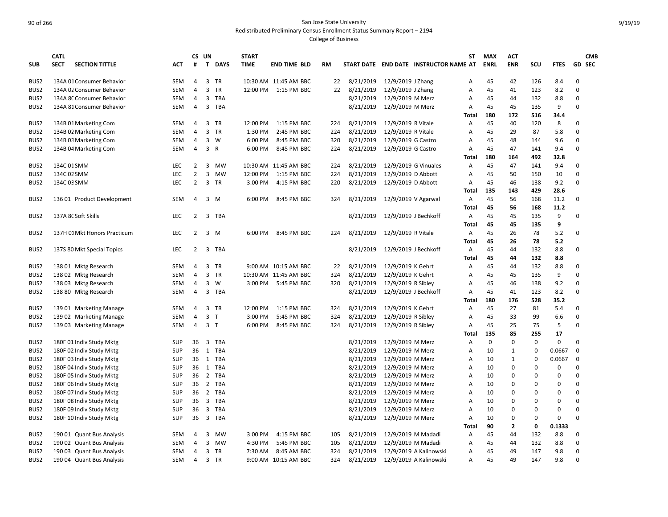Redistributed Preliminary Census Enrollment Status Summary Report – 2194

|                  | <b>CATL</b>                          |            |                | CS UN                   |              | <b>START</b> |                       |           |           |                      |                                        | ST             | <b>MAX</b>  | <b>ACT</b>   |             |             |               | <b>CMB</b> |
|------------------|--------------------------------------|------------|----------------|-------------------------|--------------|--------------|-----------------------|-----------|-----------|----------------------|----------------------------------------|----------------|-------------|--------------|-------------|-------------|---------------|------------|
| <b>SUB</b>       | <b>SECT</b><br><b>SECTION TITTLE</b> | <b>ACT</b> | #              |                         | T DAYS       | <b>TIME</b>  | <b>END TIME BLD</b>   | <b>RM</b> |           |                      | START DATE END DATE INSTRUCTOR NAME AT |                | <b>ENRL</b> | <b>ENR</b>   | SCU         | <b>FTES</b> | <b>GD SEC</b> |            |
| BUS <sub>2</sub> | 134A 01 Consumer Behavior            | SEM        | 4              |                         | 3 TR         |              | 10:30 AM 11:45 AM BBC | 22        | 8/21/2019 | 12/9/2019 J Zhang    |                                        | Α              | 45          | 42           | 126         | 8.4         | $\Omega$      |            |
| BUS <sub>2</sub> | 134A 02 Consumer Behavior            | SEM        | 4              | 3                       | <b>TR</b>    | 12:00 PM     | 1:15 PM BBC           | 22        | 8/21/2019 | 12/9/2019 J Zhang    |                                        | A              | 45          | 41           | 123         | 8.2         | $\Omega$      |            |
| BUS2             | 134A 8C Consumer Behavior            | SEM        | 4              | 3                       | <b>TBA</b>   |              |                       |           | 8/21/2019 | 12/9/2019 M Merz     |                                        | A              | 45          | 44           | 132         | 8.8         | 0             |            |
| BUS2             | 134A 81 Consumer Behavior            | <b>SEM</b> | 4              | $\overline{3}$          | <b>TBA</b>   |              |                       |           | 8/21/2019 | 12/9/2019 M Merz     |                                        | A              | 45          | 45           | 135         | 9           | $\Omega$      |            |
|                  |                                      |            |                |                         |              |              |                       |           |           |                      |                                        | Total          | 180         | 172          | 516         | 34.4        |               |            |
| BUS <sub>2</sub> | 134B 01 Marketing Com                | <b>SEM</b> | 4              |                         | 3 TR         | 12:00 PM     | 1:15 PM BBC           | 224       | 8/21/2019 | 12/9/2019 R Vitale   |                                        | A              | 45          | 40           | 120         | 8           | $\Omega$      |            |
| BUS2             | 134B 02 Marketing Com                | <b>SEM</b> | 4              | 3                       | <b>TR</b>    | 1:30 PM      | 2:45 PM BBC           | 224       | 8/21/2019 | 12/9/2019 R Vitale   |                                        | $\overline{A}$ | 45          | 29           | 87          | 5.8         | 0             |            |
| BUS <sub>2</sub> | 134B 03 Marketing Com                | SEM        | 4              | $\overline{3}$          | W            | 6:00 PM      | 8:45 PM BBC           | 320       | 8/21/2019 | 12/9/2019 G Castro   |                                        | $\overline{A}$ | 45          | 48           | 144         | 9.6         | $\Omega$      |            |
| BUS2             | 134B 04 Marketing Com                | SEM        | 4              | $\mathbf{3}$            | $\mathsf{R}$ | 6:00 PM      | 8:45 PM BBC           | 224       | 8/21/2019 | 12/9/2019 G Castro   |                                        | A              | 45          | 47           | 141         | 9.4         | $\mathbf 0$   |            |
|                  |                                      |            |                |                         |              |              |                       |           |           |                      |                                        | Total          | 180         | 164          | 492         | 32.8        |               |            |
| BUS <sub>2</sub> | 134C 01 SMM                          | <b>LEC</b> | 2              | 3                       | <b>MW</b>    |              | 10:30 AM 11:45 AM BBC | 224       | 8/21/2019 |                      | 12/9/2019 G Vinuales                   | A              | 45          | 47           | 141         | 9.4         | 0             |            |
| BUS2             | 134C 02 SMM                          | <b>LEC</b> | $\overline{2}$ | 3                       | <b>MW</b>    | 12:00 PM     | 1:15 PM BBC           | 224       | 8/21/2019 | 12/9/2019 D Abbott   |                                        | $\overline{A}$ | 45          | 50           | 150         | 10          | $\Omega$      |            |
| BUS2             | 134C 03 SMM                          | LEC        | $\overline{2}$ | 3                       | <b>TR</b>    | 3:00 PM      | 4:15 PM BBC           | 220       | 8/21/2019 | 12/9/2019 D Abbott   |                                        | A              | 45          | 46           | 138         | 9.2         | $\Omega$      |            |
|                  |                                      |            |                |                         |              |              |                       |           |           |                      |                                        | Total          | 135         | 143          | 429         | 28.6        |               |            |
| BUS <sub>2</sub> | 136 01 Product Development           | SEM        | 4              | 3                       | - M          | 6:00 PM      | 8:45 PM BBC           | 324       | 8/21/2019 | 12/9/2019 V Agarwal  |                                        | A              | 45          | 56           | 168         | 11.2        | $\Omega$      |            |
|                  |                                      |            |                |                         |              |              |                       |           |           |                      |                                        | Total          | 45          | 56           | 168         | 11.2        |               |            |
| BUS <sub>2</sub> | 137A 8C Soft Skills                  | <b>LEC</b> | 2              | 3                       | <b>TBA</b>   |              |                       |           | 8/21/2019 | 12/9/2019 J Bechkoff |                                        | A              | 45          | 45           | 135         | 9           | $\Omega$      |            |
|                  |                                      |            |                |                         |              |              |                       |           |           |                      |                                        | Total          | 45          | 45           | 135         | 9           |               |            |
| BUS2             | 137H 01 Mkt Honors Practicum         | <b>LEC</b> | $\overline{2}$ |                         | 3 M          | 6:00 PM      | 8:45 PM BBC           | 224       | 8/21/2019 | 12/9/2019 R Vitale   |                                        | A              | 45          | 26           | 78          | 5.2         | $\Omega$      |            |
|                  |                                      |            |                |                         |              |              |                       |           |           |                      |                                        | <b>Total</b>   | 45          | 26           | 78          | 5.2         |               |            |
| BUS <sub>2</sub> | 137S 80 Mkt Special Topics           | LEC        | $\overline{2}$ | 3                       | <b>TBA</b>   |              |                       |           | 8/21/2019 | 12/9/2019 J Bechkoff |                                        | Α              | 45          | 44           | 132         | 8.8         | $\Omega$      |            |
|                  |                                      |            |                |                         |              |              |                       |           |           |                      |                                        | Total          | 45          | 44           | 132         | 8.8         |               |            |
| BUS <sub>2</sub> | 138 01 Mktg Research                 | <b>SEM</b> | 4              |                         | 3 TR         |              | 9:00 AM 10:15 AM BBC  | 22        | 8/21/2019 | 12/9/2019 K Gehrt    |                                        | Α              | 45          | 44           | 132         | 8.8         | 0             |            |
| BUS2             | 138 02 Mktg Research                 | <b>SEM</b> | 4              |                         | 3 TR         |              | 10:30 AM 11:45 AM BBC | 324       | 8/21/2019 | 12/9/2019 K Gehrt    |                                        | $\overline{A}$ | 45          | 45           | 135         | 9           | $\Omega$      |            |
| BUS2             | 138 03 Mktg Research                 | SEM        | 4              | 3                       | W            | 3:00 PM      | 5:45 PM BBC           | 320       | 8/21/2019 | 12/9/2019 R Sibley   |                                        | A              | 45          | 46           | 138         | 9.2         | $\Omega$      |            |
| BUS2             | 138 80 Mktg Research                 | SEM        | 4              | 3                       | <b>TBA</b>   |              |                       |           | 8/21/2019 | 12/9/2019 J Bechkoff |                                        | Α              | 45          | 41           | 123         | 8.2         | 0             |            |
|                  |                                      |            |                |                         |              |              |                       |           |           |                      |                                        | Total          | 180         | 176          | 528         | 35.2        |               |            |
| BUS <sub>2</sub> | 139 01 Marketing Manage              | <b>SEM</b> | 4              |                         | 3 TR         | 12:00 PM     | 1:15 PM BBC           | 324       | 8/21/2019 | 12/9/2019 K Gehrt    |                                        | $\overline{A}$ | 45          | 27           | 81          | 5.4         | $\Omega$      |            |
| BUS <sub>2</sub> | 139 02 Marketing Manage              | SEM        | 4              | 3 <sub>7</sub>          |              | 3:00 PM      | 5:45 PM BBC           | 324       | 8/21/2019 | 12/9/2019 R Sibley   |                                        | $\overline{A}$ | 45          | 33           | 99          | 6.6         | $\Omega$      |            |
| BUS <sub>2</sub> | 139 03 Marketing Manage              | SEM        | 4              | 3 <sub>T</sub>          |              | 6:00 PM      | 8:45 PM BBC           | 324       | 8/21/2019 | 12/9/2019 R Sibley   |                                        | Α              | 45          | 25           | 75          | 5           | $\Omega$      |            |
|                  |                                      |            |                |                         |              |              |                       |           |           |                      |                                        | Total          | 135         | 85           | 255         | 17          |               |            |
| BUS <sub>2</sub> | 180F 01 Indiv Study Mktg             | <b>SUP</b> | 36             | 3                       | <b>TBA</b>   |              |                       |           | 8/21/2019 | 12/9/2019 M Merz     |                                        | $\overline{A}$ | $\mathbf 0$ | $\Omega$     | $\mathbf 0$ | 0           | $\Omega$      |            |
| BUS <sub>2</sub> | 180F 02 Indiv Study Mktg             | <b>SUP</b> | 36             | 1                       | <b>TBA</b>   |              |                       |           | 8/21/2019 | 12/9/2019 M Merz     |                                        | $\overline{A}$ | 10          | 1            | 0           | 0.0667      | $\Omega$      |            |
| BUS2             | 180F 03 Indiv Study Mktg             | <b>SUP</b> | 36             | 1                       | <b>TBA</b>   |              |                       |           | 8/21/2019 | 12/9/2019 M Merz     |                                        | A              | 10          | 1            | 0           | 0.0667      | 0             |            |
| BUS <sub>2</sub> | 180F 04 Indiv Study Mktg             | <b>SUP</b> | 36             | 1                       | TBA          |              |                       |           | 8/21/2019 | 12/9/2019 M Merz     |                                        | Α              | 10          | 0            | 0           | 0           | $\Omega$      |            |
| BUS2             | 180F 05 Indiv Study Mktg             | <b>SUP</b> | 36             | $\overline{2}$          | <b>TBA</b>   |              |                       |           | 8/21/2019 | 12/9/2019 M Merz     |                                        | $\overline{A}$ | 10          | 0            | $\Omega$    | 0           | $\Omega$      |            |
| BUS <sub>2</sub> | 180F 06 Indiv Study Mktg             | <b>SUP</b> | 36             | $\overline{2}$          | <b>TBA</b>   |              |                       |           | 8/21/2019 | 12/9/2019 M Merz     |                                        | A              | 10          | 0            | 0           | 0           | $\Omega$      |            |
| BUS2             | 180F 07 Indiv Study Mktg             | SUP        | 36             | 2                       | <b>TBA</b>   |              |                       |           | 8/21/2019 | 12/9/2019 M Merz     |                                        | A              | 10          | 0            | 0           | 0           | $\Omega$      |            |
| BUS2             | 180F 08 Indiv Study Mktg             | <b>SUP</b> | 36             | $\overline{\mathbf{3}}$ | <b>TBA</b>   |              |                       |           | 8/21/2019 | 12/9/2019 M Merz     |                                        | A              | 10          | 0            | 0           | 0           | $\mathbf 0$   |            |
| BUS2             | 180F 09 Indiv Study Mktg             | <b>SUP</b> | 36             | 3                       | <b>TBA</b>   |              |                       |           | 8/21/2019 | 12/9/2019 M Merz     |                                        | A              | 10          | 0            | 0           | 0           | $\Omega$      |            |
| BUS <sub>2</sub> | 180F 10 Indiv Study Mktg             | <b>SUP</b> | 36             | $\overline{\mathbf{3}}$ | TBA          |              |                       |           | 8/21/2019 | 12/9/2019 M Merz     |                                        | $\overline{A}$ | 10          | 0            | 0           | $\Omega$    | $\Omega$      |            |
|                  |                                      |            |                |                         |              |              |                       |           |           |                      |                                        | Total          | 90          | $\mathbf{2}$ | 0           | 0.1333      |               |            |
| BUS <sub>2</sub> | 190 01 Quant Bus Analysis            | SEM        | 4              | 3                       | <b>MW</b>    | 3:00 PM      | 4:15 PM BBC           | 105       | 8/21/2019 |                      | 12/9/2019 M Madadi                     | A              | 45          | 44           | 132         | 8.8         | $\Omega$      |            |
| BUS <sub>2</sub> | 190 02 Quant Bus Analysis            | <b>SEM</b> | 4              | 3                       | <b>MW</b>    | 4:30 PM      | 5:45 PM BBC           | 105       | 8/21/2019 |                      | 12/9/2019 M Madadi                     | A              | 45          | 44           | 132         | 8.8         | 0             |            |
| BUS2             | 190 03 Quant Bus Analysis            | SEM        | 4              |                         | 3 TR         | 7:30 AM      | 8:45 AM BBC           | 324       | 8/21/2019 |                      | 12/9/2019 A Kalinowski                 | $\overline{A}$ | 45          | 49           | 147         | 9.8         | $\Omega$      |            |
| BUS2             | 190 04 Quant Bus Analysis            | SEM        | 4              |                         | 3 TR         |              | 9:00 AM 10:15 AM BBC  | 324       | 8/21/2019 |                      | 12/9/2019 A Kalinowski                 | A              | 45          | 49           | 147         | 9.8         | $\Omega$      |            |
|                  |                                      |            |                |                         |              |              |                       |           |           |                      |                                        |                |             |              |             |             |               |            |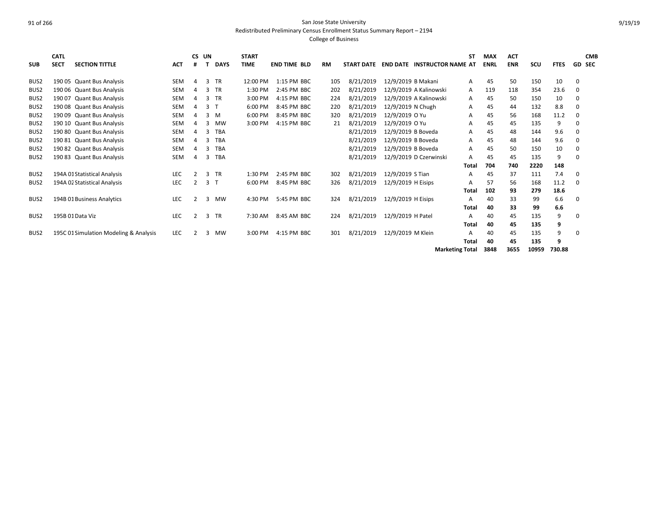Redistributed Preliminary Census Enrollment Status Summary Report – 2194

|                  | <b>CATL</b> |                                        |            | CS. | UN |             | <b>START</b> |                     |           |                   |                    |                           | <b>ST</b>    | <b>MAX</b>  | <b>ACT</b> |       |             |               | <b>CMB</b> |
|------------------|-------------|----------------------------------------|------------|-----|----|-------------|--------------|---------------------|-----------|-------------------|--------------------|---------------------------|--------------|-------------|------------|-------|-------------|---------------|------------|
| <b>SUB</b>       | <b>SECT</b> | <b>SECTION TITTLE</b>                  | <b>ACT</b> |     |    | <b>DAYS</b> | <b>TIME</b>  | <b>END TIME BLD</b> | <b>RM</b> | <b>START DATE</b> | <b>END DATE</b>    | <b>INSTRUCTOR NAME AT</b> |              | <b>ENRL</b> | <b>ENR</b> | SCU   | <b>FTES</b> | <b>GD SEC</b> |            |
| BUS <sub>2</sub> |             | 190 05 Quant Bus Analysis              | <b>SEM</b> | Δ   | 3  | <b>TR</b>   | 12:00 PM     | 1:15 PM BBC         | 105       | 8/21/2019         | 12/9/2019 B Makani |                           | A            | 45          | 50         | 150   | 10          | $\Omega$      |            |
| BUS <sub>2</sub> |             | 190 06 Quant Bus Analysis              | <b>SEM</b> |     | 3  | <b>TR</b>   | 1:30 PM      | 2:45 PM BBC         | 202       | 8/21/2019         |                    | 12/9/2019 A Kalinowski    | A            | 119         | 118        | 354   | 23.6        | 0             |            |
| BUS <sub>2</sub> |             | 190 07 Quant Bus Analysis              | SEM        |     | 3  | <b>TR</b>   | 3:00 PM      | 4:15 PM BBC         | 224       | 8/21/2019         |                    | 12/9/2019 A Kalinowski    | Α            | 45          | 50         | 150   | 10          | 0             |            |
| BUS <sub>2</sub> |             | 190 08 Quant Bus Analysis              | <b>SEM</b> |     | 3  |             | 6:00 PM      | 8:45 PM BBC         | 220       | 8/21/2019         | 12/9/2019 N Chugh  |                           | A            | 45          | 44         | 132   | 8.8         | $\Omega$      |            |
| BUS <sub>2</sub> |             | 190 09 Quant Bus Analysis              | SEM        |     | 3  | M           | 6:00 PM      | 8:45 PM BBC         | 320       | 8/21/2019         | 12/9/2019 O Yu     |                           | A            | 45          | 56         | 168   | 11.2        | 0             |            |
| BUS <sub>2</sub> |             | 190 10 Quant Bus Analysis              | SEM        |     |    | <b>MW</b>   | 3:00 PM      | 4:15 PM BBC         | 21        | 8/21/2019         | 12/9/2019 O Yu     |                           | A            | 45          | 45         | 135   | 9           | $\Omega$      |            |
| BUS <sub>2</sub> |             | 190 80 Quant Bus Analysis              | <b>SEM</b> |     | 3  | <b>TBA</b>  |              |                     |           | 8/21/2019         | 12/9/2019 B Boveda |                           | A            | 45          | 48         | 144   | 9.6         | $\Omega$      |            |
| BUS <sub>2</sub> |             | 190 81 Quant Bus Analysis              | <b>SEM</b> |     | з  | <b>TBA</b>  |              |                     |           | 8/21/2019         | 12/9/2019 B Boveda |                           | Α            | 45          | 48         | 144   | 9.6         | 0             |            |
| BUS <sub>2</sub> |             | 190 82 Quant Bus Analysis              | <b>SEM</b> | 4   | 3  | <b>TBA</b>  |              |                     |           | 8/21/2019         | 12/9/2019 B Boveda |                           | A            | 45          | 50         | 150   | 10          |               |            |
| BUS <sub>2</sub> |             | 190 83 Quant Bus Analysis              | <b>SEM</b> |     | 3  | <b>TBA</b>  |              |                     |           | 8/21/2019         |                    | 12/9/2019 D Czerwinski    | A            | 45          | 45         | 135   | 9           | $\Omega$      |            |
|                  |             |                                        |            |     |    |             |              |                     |           |                   |                    |                           | <b>Total</b> | 704         | 740        | 2220  | 148         |               |            |
| BUS <sub>2</sub> |             | 194A 01 Statistical Analysis           | <b>LEC</b> |     | 3  | <b>TR</b>   | 1:30 PM      | 2:45 PM BBC         | 302       | 8/21/2019         | 12/9/2019 S Tian   |                           | A            | 45          | 37         | 111   | 7.4         | - 0           |            |
| BUS <sub>2</sub> |             | 194A 02 Statistical Analysis           | LEC        |     | 3  |             | 6:00 PM      | 8:45 PM BBC         | 326       | 8/21/2019         | 12/9/2019 H Eisips |                           | А            | 57          | 56         | 168   | 11.2        | $\Omega$      |            |
|                  |             |                                        |            |     |    |             |              |                     |           |                   |                    |                           | <b>Total</b> | 102         | 93         | 279   | 18.6        |               |            |
| BUS <sub>2</sub> |             | 194B 01 Business Analytics             | LEC        |     | 3  | <b>MW</b>   | 4:30 PM      | 5:45 PM BBC         | 324       | 8/21/2019         | 12/9/2019 H Eisips |                           | А            | 40          | 33         | 99    | 6.6         | - 0           |            |
|                  |             |                                        |            |     |    |             |              |                     |           |                   |                    |                           | <b>Total</b> | 40          | 33         | 99    | 6.6         |               |            |
| BUS <sub>2</sub> |             | 195B 01 Data Viz                       | LEC        |     | 3  | <b>TR</b>   | 7:30 AM      | 8:45 AM BBC         | 224       | 8/21/2019         | 12/9/2019 H Patel  |                           | А            | 40          | 45         | 135   | 9           |               |            |
|                  |             |                                        |            |     |    |             |              |                     |           |                   |                    |                           | <b>Total</b> | 40          | 45         | 135   | 9           |               |            |
| BUS <sub>2</sub> |             | 195C 01 Simulation Modeling & Analysis | <b>LEC</b> |     | 3  | <b>MW</b>   | 3:00 PM      | 4:15 PM BBC         | 301       | 8/21/2019         | 12/9/2019 M Klein  |                           | А            | 40          | 45         | 135   | 9           | $\Omega$      |            |
|                  |             |                                        |            |     |    |             |              |                     |           |                   |                    |                           | <b>Total</b> | 40          | 45         | 135   | 9           |               |            |
|                  |             |                                        |            |     |    |             |              |                     |           |                   |                    | <b>Marketing Total</b>    |              | 3848        | 3655       | 10959 | 730.88      |               |            |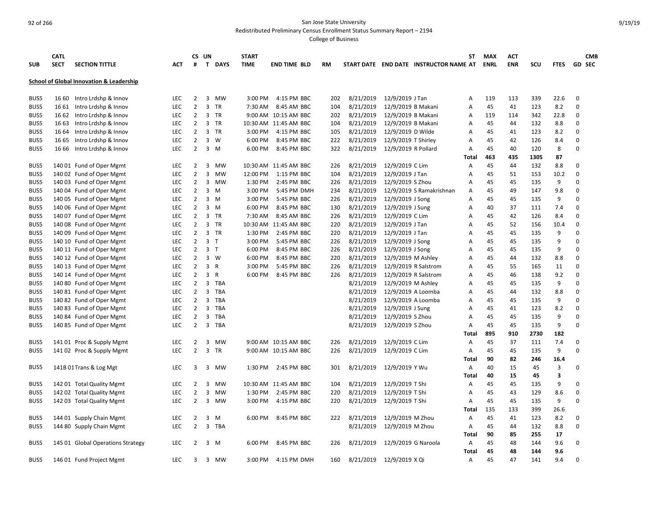Redistributed Preliminary Census Enrollment Status Summary Report – 2194

|            | <b>CATL</b> |                                                     |            |                | CS UN          |             | <b>START</b> |                       |     |           |                      |                                        | <b>ST</b>      | <b>MAX</b>  | <b>ACT</b> |      |             |               | <b>CMB</b> |
|------------|-------------|-----------------------------------------------------|------------|----------------|----------------|-------------|--------------|-----------------------|-----|-----------|----------------------|----------------------------------------|----------------|-------------|------------|------|-------------|---------------|------------|
| <b>SUB</b> | <b>SECT</b> | <b>SECTION TITTLE</b>                               | <b>ACT</b> | #              |                | T DAYS      | <b>TIME</b>  | <b>END TIME BLD</b>   | RM  |           |                      | START DATE END DATE INSTRUCTOR NAME AT |                | <b>ENRL</b> | <b>ENR</b> | scu  | <b>FTES</b> | <b>GD SEC</b> |            |
|            |             | <b>School of Global Innovation &amp; Leadership</b> |            |                |                |             |              |                       |     |           |                      |                                        |                |             |            |      |             |               |            |
|            |             |                                                     |            |                |                |             |              |                       |     |           |                      |                                        |                |             |            |      |             |               |            |
| BUS5       | 16 60       | Intro Lrdshp & Innov                                | <b>LEC</b> | $\overline{2}$ |                | 3 MW        | 3:00 PM      | 4:15 PM BBC           | 202 | 8/21/2019 | 12/9/2019 J Tan      |                                        | Α              | 119         | 113        | 339  | 22.6        | $\mathbf 0$   |            |
| BUS5       | 16 61       | Intro Lrdshp & Innov                                | <b>LEC</b> | $\overline{2}$ | $\overline{3}$ | TR          | 7:30 AM      | 8:45 AM BBC           | 104 | 8/21/2019 | 12/9/2019 B Makani   |                                        | A              | 45          | 41         | 123  | 8.2         | $\mathbf 0$   |            |
| BUS5       | 16 62       | Intro Lrdshp & Innov                                | <b>LEC</b> | $\overline{2}$ | 3              | TR          |              | 9:00 AM 10:15 AM BBC  | 202 | 8/21/2019 | 12/9/2019 B Makani   |                                        | A              | 119         | 114        | 342  | 22.8        | 0             |            |
| BUS5       | 16 63       | Intro Lrdshp & Innov                                | LEC.       | $\overline{2}$ |                | 3 TR        |              | 10:30 AM 11:45 AM BBC | 104 | 8/21/2019 | 12/9/2019 B Makani   |                                        | A              | 45          | 44         | 132  | 8.8         | $\mathbf 0$   |            |
| BUS5       | 16 64       | Intro Lrdshp & Innov                                | <b>LEC</b> | $\overline{2}$ |                | 3 TR        | 3:00 PM      | 4:15 PM BBC           | 105 | 8/21/2019 | 12/9/2019 D Wilde    |                                        | A              | 45          | 41         | 123  | 8.2         | $\mathbf 0$   |            |
| BUS5       | 16 65       | Intro Lrdshp & Innov                                | LEC        | $\overline{2}$ |                | $3 \quad W$ | 6:00 PM      | 8:45 PM BBC           | 222 | 8/21/2019 | 12/9/2019 T Shirley  |                                        | Α              | 45          | 42         | 126  | 8.4         | $\Omega$      |            |
| BUS5       | 16 66       | Intro Lrdshp & Innov                                | <b>LEC</b> | $\overline{2}$ | $\overline{3}$ | M           | 6:00 PM      | 8:45 PM BBC           | 322 | 8/21/2019 | 12/9/2019 R Pollard  |                                        | Α              | 45          | 40         | 120  | 8           | 0             |            |
|            |             |                                                     |            |                |                |             |              |                       |     |           |                      |                                        | Total          | 463         | 435        | 1305 | 87          |               |            |
| BUS5       |             | 140 01 Fund of Oper Mgmt                            | <b>LEC</b> | $\overline{2}$ | 3              | <b>MW</b>   |              | 10:30 AM 11:45 AM BBC | 226 | 8/21/2019 | 12/9/2019 C Lim      |                                        | A              | 45          | 44         | 132  | 8.8         | 0             |            |
| BUS5       |             | 140 02 Fund of Oper Mgmt                            | <b>LEC</b> | $\overline{2}$ | 3              | MW          | 12:00 PM     | 1:15 PM BBC           | 104 | 8/21/2019 | 12/9/2019 J Tan      |                                        | A              | 45          | 51         | 153  | 10.2        | $\Omega$      |            |
| BUS5       |             | 140 03 Fund of Oper Mgmt                            | LEC        | $\overline{2}$ | 3              | MW          | 1:30 PM      | 2:45 PM BBC           | 226 | 8/21/2019 | 12/9/2019 S Zhou     |                                        | A              | 45          | 45         | 135  | 9           | $\mathbf 0$   |            |
| BUS5       |             | 140 04 Fund of Oper Mgmt                            | <b>LEC</b> | $\overline{2}$ |                | 3 M         | 3:00 PM      | 5:45 PM DMH           | 234 | 8/21/2019 |                      | 12/9/2019 S Ramakrishnan               | Α              | 45          | 49         | 147  | 9.8         | $\Omega$      |            |
| BUS5       |             | 140 05 Fund of Oper Mgmt                            | <b>LEC</b> | $\overline{2}$ |                | $3 \, M$    | 3:00 PM      | 5:45 PM BBC           | 226 | 8/21/2019 | 12/9/2019 J Song     |                                        | A              | 45          | 45         | 135  | 9           | $\Omega$      |            |
| BUS5       |             | 140 06 Fund of Oper Mgmt                            | <b>LEC</b> | $\overline{2}$ |                | $3 \, M$    | 6:00 PM      | 8:45 PM BBC           | 130 | 8/21/2019 | 12/9/2019 J Sung     |                                        | A              | 40          | 37         | 111  | 7.4         | $\Omega$      |            |
| BUS5       |             | 140 07 Fund of Oper Mgmt                            | <b>LEC</b> | $\overline{2}$ |                | 3 TR        | 7:30 AM      | 8:45 AM BBC           | 226 | 8/21/2019 | 12/9/2019 C Lim      |                                        | A              | 45          | 42         | 126  | 8.4         | $\Omega$      |            |
| BUS5       |             | 140 08 Fund of Oper Mgmt                            | <b>LEC</b> | $\overline{2}$ |                | 3 TR        |              | 10:30 AM 11:45 AM BBC | 220 | 8/21/2019 | 12/9/2019 J Tan      |                                        | Α              | 45          | 52         | 156  | 10.4        | $\Omega$      |            |
| BUS5       |             | 140 09 Fund of Oper Mgmt                            | <b>LEC</b> | $\overline{2}$ |                | 3 TR        | 1:30 PM      | 2:45 PM BBC           | 220 | 8/21/2019 | 12/9/2019 J Tan      |                                        | A              | 45          | 45         | 135  | 9           | $\Omega$      |            |
| BUS5       |             | 140 10 Fund of Oper Mgmt                            | <b>LEC</b> | $\overline{2}$ | 3 <sub>1</sub> |             | 3:00 PM      | 5:45 PM BBC           | 226 | 8/21/2019 | 12/9/2019 J Song     |                                        | A              | 45          | 45         | 135  | 9           | $\Omega$      |            |
| BUS5       |             | 140 11 Fund of Oper Mgmt                            | <b>LEC</b> | $\overline{2}$ | 3 <sub>T</sub> |             | 6:00 PM      | 8:45 PM BBC           | 226 | 8/21/2019 | 12/9/2019 J Song     |                                        | A              | 45          | 45         | 135  | 9           | $\Omega$      |            |
| BUS5       |             | 140 12 Fund of Oper Mgmt                            | <b>LEC</b> | $\overline{2}$ |                | $3 \quad W$ | 6:00 PM      | 8:45 PM BBC           | 220 | 8/21/2019 | 12/9/2019 M Ashley   |                                        | A              | 45          | 44         | 132  | 8.8         | 0             |            |
| BUS5       |             | 140 13 Fund of Oper Mgmt                            | <b>LEC</b> | $\overline{2}$ | 3 R            |             | 3:00 PM      | 5:45 PM BBC           | 226 | 8/21/2019 | 12/9/2019 R Salstrom |                                        | A              | 45          | 55         | 165  | 11          | $\Omega$      |            |
| BUS5       |             | 140 14 Fund of Oper Mgmt                            | <b>LEC</b> | $\overline{2}$ | 3 R            |             | 6:00 PM      | 8:45 PM BBC           | 226 | 8/21/2019 | 12/9/2019 R Salstrom |                                        | Α              | 45          | 46         | 138  | 9.2         | $\mathbf 0$   |            |
| BUS5       |             | 140 80 Fund of Oper Mgmt                            | <b>LEC</b> | $\overline{2}$ | 3              | TBA         |              |                       |     | 8/21/2019 | 12/9/2019 M Ashley   |                                        | A              | 45          | 45         | 135  | 9           | $\Omega$      |            |
| BUS5       |             | 140 81 Fund of Oper Mgmt                            | <b>LEC</b> | $\overline{2}$ | 3              | <b>TBA</b>  |              |                       |     | 8/21/2019 | 12/9/2019 A Loomba   |                                        | A              | 45          | 44         | 132  | 8.8         | $\Omega$      |            |
| BUS5       |             | 140 82 Fund of Oper Mgmt                            | <b>LEC</b> | $\overline{2}$ | 3              | TBA         |              |                       |     | 8/21/2019 | 12/9/2019 A Loomba   |                                        | A              | 45          | 45         | 135  | 9           | $\Omega$      |            |
| BUS5       |             | 140 83 Fund of Oper Mgmt                            | <b>LEC</b> | $\overline{2}$ | 3              | <b>TBA</b>  |              |                       |     | 8/21/2019 | 12/9/2019 J Sung     |                                        | A              | 45          | 41         | 123  | 8.2         | $\Omega$      |            |
| BUS5       |             | 140 84 Fund of Oper Mgmt                            | LEC        | $\overline{2}$ | 3              | <b>TBA</b>  |              |                       |     | 8/21/2019 | 12/9/2019 S Zhou     |                                        | Α              | 45          | 45         | 135  | 9           | $\mathbf 0$   |            |
| BUS5       |             | 140 85 Fund of Oper Mgmt                            | <b>LEC</b> | $\overline{2}$ | 3              | <b>TBA</b>  |              |                       |     | 8/21/2019 | 12/9/2019 S Zhou     |                                        | Α              | 45          | 45         | 135  | 9           | 0             |            |
|            |             |                                                     |            |                |                |             |              |                       |     |           |                      |                                        | Total          | 895         | 910        | 2730 | 182         |               |            |
| BUS5       |             | 141 01 Proc & Supply Mgmt                           | <b>LEC</b> | $\overline{2}$ | 3              | <b>MW</b>   |              | 9:00 AM 10:15 AM BBC  | 226 | 8/21/2019 | 12/9/2019 C Lim      |                                        | $\overline{A}$ | 45          | 37         | 111  | 7.4         | $\mathbf 0$   |            |
| BUS5       |             | 141 02 Proc & Supply Mgmt                           | <b>LEC</b> | $\overline{2}$ | $\overline{3}$ | TR          |              | 9:00 AM 10:15 AM BBC  | 226 | 8/21/2019 | 12/9/2019 C Lim      |                                        | A              | 45          | 45         | 135  | 9           | $\Omega$      |            |
|            |             |                                                     |            |                |                |             |              |                       |     |           |                      |                                        | Total          | 90          | 82         | 246  | 16.4        |               |            |
| BUS5       |             | 141B 01 Trans & Log Mgt                             | <b>LEC</b> | 3              |                | 3 MW        | 1:30 PM      | 2:45 PM BBC           | 301 | 8/21/2019 | 12/9/2019 Y Wu       |                                        | Α              | 40          | 15         | 45   | 3           | 0             |            |
|            |             |                                                     |            |                |                |             |              |                       |     |           |                      |                                        | Total          | 40          | 15         | 45   | 3           |               |            |
| BUS5       |             | 142 01 Total Quality Mgmt                           | <b>LEC</b> | 2              | 3              | <b>MW</b>   |              | 10:30 AM 11:45 AM BBC | 104 | 8/21/2019 | 12/9/2019 T Shi      |                                        | A              | 45          | 45         | 135  | 9           | $\mathbf 0$   |            |
| BUS5       |             | 142 02 Total Quality Mgmt                           | <b>LEC</b> | $\overline{2}$ | 3              | <b>MW</b>   | 1:30 PM      | 2:45 PM BBC           | 220 | 8/21/2019 | 12/9/2019 T Shi      |                                        | A              | 45          | 43         | 129  | 8.6         | $\mathbf 0$   |            |
| BUS5       |             | 142 03 Total Quality Mgmt                           | <b>LEC</b> | $\overline{2}$ |                | 3 MW        | 3:00 PM      | 4:15 PM BBC           | 220 | 8/21/2019 | 12/9/2019 T Shi      |                                        | Α              | 45          | 45         | 135  | 9           | $\Omega$      |            |
|            |             |                                                     |            |                |                |             |              |                       |     |           |                      |                                        | Total          | 135         | 133        | 399  | 26.6        |               |            |
| BUS5       |             | 144 01 Supply Chain Mgmt                            | <b>LEC</b> | 2              | 3              | M           | 6:00 PM      | 8:45 PM BBC           | 222 | 8/21/2019 | 12/9/2019 M Zhou     |                                        | Α              | 45          | 41         | 123  | 8.2         | 0             |            |
| BUS5       |             | 144 80 Supply Chain Mgmt                            | LEC        | $\overline{2}$ | $\overline{3}$ | TBA         |              |                       |     | 8/21/2019 | 12/9/2019 M Zhou     |                                        | A              | 45          | 44         | 132  | 8.8         | $\Omega$      |            |
|            |             |                                                     |            |                |                |             |              |                       |     |           |                      |                                        | Total          | 90          | 85         | 255  | 17          |               |            |
| BUS5       |             | 145 01 Global Operations Strategy                   | LEC        | 2              |                | 3 M         | 6:00 PM      | 8:45 PM BBC           | 226 | 8/21/2019 | 12/9/2019 G Naroola  |                                        | Α              | 45          | 48         | 144  | 9.6         | $\Omega$      |            |
|            |             |                                                     |            |                |                |             |              |                       |     |           |                      |                                        | Total          | 45          | 48         | 144  | 9.6         |               |            |
| BUS5       |             | 146 01 Fund Project Mgmt                            | <b>LEC</b> | 3              |                | 3 MW        | 3:00 PM      | 4:15 PM DMH           | 160 | 8/21/2019 | 12/9/2019 X Qi       |                                        | A              | 45          | 47         | 141  | 9.4         | $\Omega$      |            |
|            |             |                                                     |            |                |                |             |              |                       |     |           |                      |                                        |                |             |            |      |             |               |            |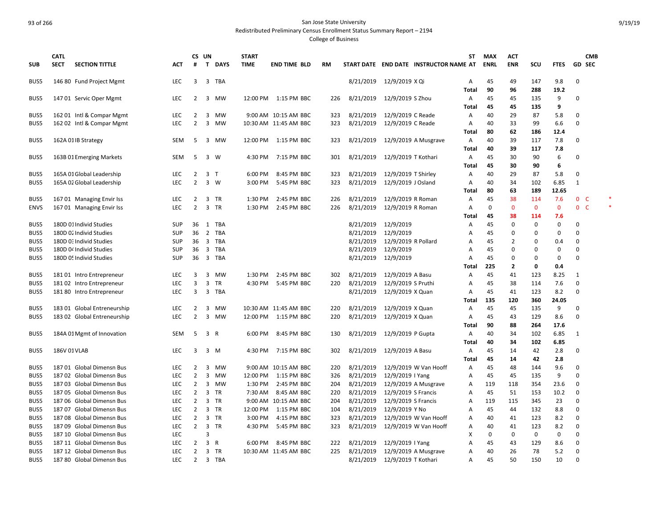Redistributed Preliminary Census Enrollment Status Summary Report – 2194

|              | <b>CATL</b>  |                             |            | CS UN          |                |              | <b>START</b> |                       |     |           |                       | ST                                     | <b>MAX</b>  | <b>ACT</b>     |              |             | <b>CMB</b>     |  |
|--------------|--------------|-----------------------------|------------|----------------|----------------|--------------|--------------|-----------------------|-----|-----------|-----------------------|----------------------------------------|-------------|----------------|--------------|-------------|----------------|--|
| <b>SUB</b>   | <b>SECT</b>  | <b>SECTION TITTLE</b>       | ACT        | #              | $\mathbf{T}$   | <b>DAYS</b>  | <b>TIME</b>  | <b>END TIME BLD</b>   | RM  |           |                       | START DATE END DATE INSTRUCTOR NAME AT | <b>ENRL</b> | <b>ENR</b>     | scu          | <b>FTES</b> | <b>GD SEC</b>  |  |
| BUS5         |              | 146 80 Fund Project Mgmt    | <b>LEC</b> | 3              |                | 3 TBA        |              |                       |     | 8/21/2019 | 12/9/2019 X Qi        | A                                      | 45          | 49             | 147          | 9.8         | $\mathbf 0$    |  |
|              |              |                             |            |                |                |              |              |                       |     |           |                       | <b>Total</b>                           | 90          | 96             | 288          | 19.2        |                |  |
| BUS5         |              | 147 01 Servic Oper Mgmt     | LEC        | 2              |                | 3 MW         |              | 12:00 PM  1:15 PM BBC | 226 | 8/21/2019 | 12/9/2019 S Zhou      | Α                                      | 45          | 45             | 135          | 9           | 0              |  |
|              |              |                             |            |                |                |              |              |                       |     |           |                       | Total                                  | 45          | 45             | 135          | 9           |                |  |
| BUS5         |              | 162 01 Intl & Compar Mgmt   | <b>LEC</b> | 2              | 3              | MW           |              | 9:00 AM 10:15 AM BBC  | 323 | 8/21/2019 | 12/9/2019 C Reade     | Α                                      | 40          | 29             | 87           | 5.8         | 0              |  |
| BUS5         |              | 162 02 Intl & Compar Mgmt   | <b>LEC</b> | $\overline{2}$ | 3              | MW           |              | 10:30 AM 11:45 AM BBC | 323 | 8/21/2019 | 12/9/2019 C Reade     | Α                                      | 40          | 33             | 99           | 6.6         | $\Omega$       |  |
|              |              |                             |            |                |                |              |              |                       |     |           |                       | Total                                  | 80          | 62             | 186          | 12.4        |                |  |
| BUS5         |              | 162A 01IB Strategy          | <b>SEM</b> | 5              | 3              | MW           |              | 12:00 PM 1:15 PM BBC  | 323 | 8/21/2019 | 12/9/2019 A Musgrave  | Α                                      | 40          | 39             | 117          | 7.8         | 0              |  |
|              |              |                             |            |                |                |              |              |                       |     |           |                       | <b>Total</b>                           | 40          | 39             | 117          | 7.8         |                |  |
| BUS5         |              | 163B 01 Emerging Markets    | <b>SEM</b> | 5              | 3              | W            | 4:30 PM      | 7:15 PM BBC           | 301 | 8/21/2019 | 12/9/2019 T Kothari   | A                                      | 45          | 30             | 90           | 6           | 0              |  |
|              |              |                             |            |                |                |              |              |                       |     |           |                       | Total                                  | 45          | 30             | 90           | 6           |                |  |
| BUS5         |              | 165A 01 Global Leadership   | LEC        | 2              | 3              | $\top$       | 6:00 PM      | 8:45 PM BBC           | 323 | 8/21/2019 | 12/9/2019 T Shirley   | Α                                      | 40          | 29             | 87           | 5.8         | 0              |  |
| BUS5         |              | 165A 02 Global Leadership   | <b>LEC</b> | $\overline{2}$ | 3              | W            | 3:00 PM      | 5:45 PM BBC           | 323 | 8/21/2019 | 12/9/2019 J Osland    | Α                                      | 40          | 34             | 102          | 6.85        | $\mathbf{1}$   |  |
|              |              |                             |            |                |                |              |              |                       |     |           |                       | Total                                  | 80          | 63             | 189          | 12.65       |                |  |
| BUS5         |              | 167 01 Managing Envir Iss   | LEC        | $\overline{2}$ | 3              | TR           | 1:30 PM      | 2:45 PM BBC           | 226 | 8/21/2019 | 12/9/2019 R Roman     | Α                                      | 45          | 38             | 114          | 7.6         | 0 <sup>o</sup> |  |
| <b>ENVS</b>  |              | 167 01 Managing Envir Iss   | <b>LEC</b> | $\overline{2}$ |                | 3 TR         | 1:30 PM      | 2:45 PM BBC           | 226 | 8/21/2019 | 12/9/2019 R Roman     | A                                      | 0           | $\mathbf{0}$   | $\mathbf{0}$ | $\mathbf 0$ | 0 <sup>o</sup> |  |
|              |              |                             |            |                |                |              |              |                       |     |           |                       | Total                                  | 45          | 38             | 114          | 7.6         |                |  |
| BUS5         |              | 180D 01 Individ Studies     | <b>SUP</b> | 36             |                | 1 TBA        |              |                       |     | 8/21/2019 | 12/9/2019             | Α                                      | 45          | 0              | 0            | $\Omega$    | 0              |  |
| BUS5         |              | 180D 02 Individ Studies     | <b>SUP</b> | 36             | $\overline{2}$ | TBA          |              |                       |     | 8/21/2019 | 12/9/2019             | Α                                      | 45          | $\Omega$       | $\Omega$     | $\Omega$    | $\Omega$       |  |
| BUS5         |              | 180D 0: Individ Studies     | <b>SUP</b> | 36             |                | 3 TBA        |              |                       |     | 8/21/2019 | 12/9/2019 R Pollard   | Α                                      | 45          | 2              | 0            | 0.4         | 0              |  |
| BUS5         |              | 180D 04 Individ Studies     | <b>SUP</b> | 36             |                | 3 TBA        |              |                       |     | 8/21/2019 | 12/9/2019             | Α                                      | 45          | 0              | 0            | $\Omega$    | 0              |  |
| BUS5         |              | 180D 05 Individ Studies     | <b>SUP</b> | 36             |                | 3 TBA        |              |                       |     | 8/21/2019 | 12/9/2019             | Α                                      | 45          | 0              | $\Omega$     | 0           | 0              |  |
|              |              |                             |            |                |                |              |              |                       |     |           |                       | Total                                  | 225         | $\overline{2}$ | $\mathbf 0$  | 0.4         |                |  |
| BUS5         |              | 18101 Intro Entrepreneur    | LEC        | 3              | $\overline{3}$ | MW           | 1:30 PM      | 2:45 PM BBC           | 302 | 8/21/2019 | 12/9/2019 A Basu      | Α                                      | 45          | 41             | 123          | 8.25        | 1              |  |
| BUS5         |              | 18102 Intro Entrepreneur    | <b>LEC</b> | 3              | 3              | <b>TR</b>    | 4:30 PM      | 5:45 PM BBC           | 220 | 8/21/2019 | 12/9/2019 S Pruthi    | Α                                      | 45          | 38             | 114          | 7.6         | 0              |  |
| BUS5         |              | 181 80 Intro Entrepreneur   | <b>LEC</b> | 3              |                | 3 TBA        |              |                       |     | 8/21/2019 | 12/9/2019 X Quan      | Α                                      | 45          | 41             | 123          | 8.2         | 0              |  |
|              |              |                             |            |                |                |              |              |                       |     |           |                       | Total                                  | 135         | 120            | 360          | 24.05       |                |  |
| BUS5         |              | 183 01 Global Entreneurship | LEC        | 2              | $\overline{3}$ | MW           |              | 10:30 AM 11:45 AM BBC | 220 | 8/21/2019 | 12/9/2019 X Quan      | Α                                      | 45          | 45             | 135          | 9           | 0              |  |
| BUS5         |              | 183 02 Global Entreneurship | <b>LEC</b> | 2              | 3              | MW           |              | 12:00 PM 1:15 PM BBC  | 220 | 8/21/2019 | 12/9/2019 X Quan      | Α                                      | 45<br>90    | 43             | 129          | 8.6         | 0              |  |
|              |              |                             |            |                |                |              |              |                       |     |           |                       | Total                                  |             | 88             | 264          | 17.6        |                |  |
| BUS5         |              | 184A 01 Mgmt of Innovation  | <b>SEM</b> | 5              | $\overline{3}$ | $\mathsf{R}$ | 6:00 PM      | 8:45 PM BBC           | 130 | 8/21/2019 | 12/9/2019 P Gupta     | A                                      | 40          | 34             | 102          | 6.85        | $\mathbf{1}$   |  |
|              |              |                             | <b>LEC</b> |                |                |              |              |                       |     |           |                       | <b>Total</b>                           | 40          | 34             | 102          | 6.85        |                |  |
| BUS5         | 186V 01 VLAB |                             |            | 3              | 3              | M            | 4:30 PM      | 7:15 PM BBC           | 302 | 8/21/2019 | 12/9/2019 A Basu      | Α                                      | 45<br>45    | 14             | 42           | 2.8         | 0              |  |
| BUS5         |              | 187 01 Global Dimensn Bus   | <b>LEC</b> | $\overline{2}$ | 3              | MW           |              | 9:00 AM 10:15 AM BBC  | 220 | 8/21/2019 | 12/9/2019 W Van Hooff | <b>Total</b><br>Α                      | 45          | 14<br>48       | 42<br>144    | 2.8<br>9.6  | 0              |  |
| BUS5         |              | 187 02 Global Dimensn Bus   | <b>LEC</b> | $\overline{2}$ | 3              | <b>MW</b>    | 12:00 PM     | 1:15 PM BBC           | 326 | 8/21/2019 | 12/9/2019   Yang      | A                                      | 45          | 45             | 135          | 9           | 0              |  |
| BUS5         |              | 187 03 Global Dimensn Bus   | LEC        | $\overline{2}$ | 3              | MW           | 1:30 PM      | 2:45 PM BBC           | 204 | 8/21/2019 | 12/9/2019 A Musgrave  |                                        | 119         | 118            | 354          | 23.6        | 0              |  |
|              | 18705        | <b>Global Dimensn Bus</b>   | LEC        | $\overline{2}$ | 3              | TR           | 7:30 AM      | 8:45 AM BBC           | 220 | 8/21/2019 | 12/9/2019 S Francis   | Α                                      | 45          | 51             | 153          | 10.2        | 0              |  |
| BUS5<br>BUS5 |              | 187 06 Global Dimensn Bus   | <b>LEC</b> | $\overline{2}$ |                | 3 TR         |              | 9:00 AM 10:15 AM BBC  | 204 | 8/21/2019 | 12/9/2019 S Francis   | Α<br>Α                                 | 119         | 115            | 345          | 23          | 0              |  |
| BUS5         | 18707        | <b>Global Dimensn Bus</b>   | <b>LEC</b> | $\overline{2}$ | $\overline{3}$ | TR           | 12:00 PM     | 1:15 PM BBC           | 104 | 8/21/2019 | 12/9/2019 Y No        | A                                      | 45          | 44             | 132          | 8.8         | 0              |  |
| BUS5         |              | 187 08 Global Dimensn Bus   | <b>LEC</b> | $\overline{2}$ |                | 3 TR         | 3:00 PM      | 4:15 PM BBC           | 323 | 8/21/2019 | 12/9/2019 W Van Hooff |                                        | 40          | 41             | 123          | 8.2         | $\mathbf 0$    |  |
| BUS5         |              | 187 09 Global Dimensn Bus   | <b>LEC</b> | $\overline{2}$ | 3              | TR           | 4:30 PM      | 5:45 PM BBC           | 323 | 8/21/2019 | 12/9/2019 W Van Hooff | Α<br>Α                                 | 40          | 41             | 123          | 8.2         | 0              |  |
| BUS5         |              | 187 10 Global Dimensn Bus   | <b>LEC</b> |                | $\overline{3}$ |              |              |                       |     |           |                       | х                                      | $\Omega$    | 0              | 0            | 0           | 0              |  |
| BUS5         |              | 187 11 Global Dimensn Bus   | <b>LEC</b> | 2              | 3              | $\mathsf{R}$ | 6:00 PM      | 8:45 PM BBC           | 222 | 8/21/2019 | 12/9/2019   Yang      | A                                      | 45          | 43             | 129          | 8.6         | 0              |  |
| BUS5         |              | 187 12 Global Dimensn Bus   | <b>LEC</b> | $\overline{2}$ |                | 3 TR         |              | 10:30 AM 11:45 AM BBC | 225 | 8/21/2019 | 12/9/2019 A Musgrave  | Α                                      | 40          | 26             | 78           | 5.2         | $\Omega$       |  |
| BUS5         |              | 187 80 Global Dimensn Bus   | LEC        | $\overline{2}$ |                | 3 TBA        |              |                       |     | 8/21/2019 | 12/9/2019 T Kothari   | Α                                      | 45          | 50             | 150          | 10          | 0              |  |
|              |              |                             |            |                |                |              |              |                       |     |           |                       |                                        |             |                |              |             |                |  |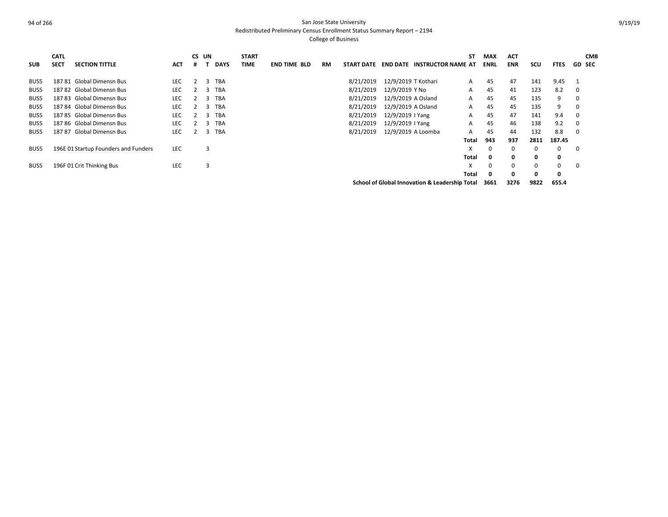Redistributed Preliminary Census Enrollment Status Summary Report – 2194

| <b>SUB</b> | <b>CATL</b><br><b>SECT</b> | <b>SECTION TITTLE</b>                | <b>ACT</b> | CS UN<br># |   | <b>DAYS</b> | <b>START</b><br><b>TIME</b> | <b>END TIME BLD</b> | <b>RM</b> | <b>START DATE</b> | <b>END DATE</b>     | <b>INSTRUCTOR NAME AT</b>                      | SΤ    | <b>MAX</b><br><b>ENRL</b> | <b>ACT</b><br>ENR | SCU  | <b>FTES</b> |             | <b>CMB</b><br><b>GD SEC</b> |
|------------|----------------------------|--------------------------------------|------------|------------|---|-------------|-----------------------------|---------------------|-----------|-------------------|---------------------|------------------------------------------------|-------|---------------------------|-------------------|------|-------------|-------------|-----------------------------|
| BUS5       | 18781                      | Global Dimensn Bus                   | LEC        |            | 3 | <b>TBA</b>  |                             |                     |           | 8/21/2019         | 12/9/2019 T Kothari |                                                | A     | 45                        | 47                | 141  | 9.45        |             |                             |
| BUS5       |                            | 187 82 Global Dimensn Bus            | <b>LEC</b> |            | 3 | <b>TBA</b>  |                             |                     |           | 8/21/2019         | 12/9/2019 Y No      |                                                | A     | 45                        | 41                | 123  | 8.2         | $\mathbf 0$ |                             |
| BUS5       |                            | 187 83 Global Dimensn Bus            | LEC        |            | 3 | <b>TBA</b>  |                             |                     |           | 8/21/2019         | 12/9/2019 A Osland  |                                                | Α     | 45                        | 45                | 135  | 9           | 0           |                             |
| BUS5       |                            | 187 84 Global Dimensn Bus            | LEC        |            | 3 | <b>TBA</b>  |                             |                     |           | 8/21/2019         | 12/9/2019 A Osland  |                                                | A     | 45                        | 45                | 135  | 9           | 0           |                             |
| BUS5       |                            | 187 85 Global Dimensn Bus            | <b>LEC</b> |            | 3 | <b>TBA</b>  |                             |                     |           | 8/21/2019         | 12/9/2019   Yang    |                                                | A     | 45                        | 47                | 141  | 9.4         | 0           |                             |
| BUS5       |                            | 187 86 Global Dimensn Bus            | <b>LEC</b> |            | 3 | <b>TBA</b>  |                             |                     |           | 8/21/2019         | 12/9/2019   Yang    |                                                | A     | 45                        | 46                | 138  | 9.2         | $\mathbf 0$ |                             |
| BUS5       |                            | 187 87 Global Dimensn Bus            | <b>LEC</b> |            | 3 | <b>TBA</b>  |                             |                     |           | 8/21/2019         | 12/9/2019 A Loomba  |                                                | A     | 45                        | 44                | 132  | 8.8         | $\mathbf 0$ |                             |
|            |                            |                                      |            |            |   |             |                             |                     |           |                   |                     |                                                | Total | 943                       | 937               | 2811 | 187.45      |             |                             |
| BUS5       |                            | 196E 01 Startup Founders and Funders | <b>LEC</b> |            | 3 |             |                             |                     |           |                   |                     |                                                | X     | $\Omega$                  | $\Omega$          | 0    | 0           | 0           |                             |
|            |                            |                                      |            |            |   |             |                             |                     |           |                   |                     |                                                | Total | 0                         | 0                 | 0    | 0           |             |                             |
| BUS5       |                            | 196F 01 Crit Thinking Bus            | <b>LEC</b> |            | 3 |             |                             |                     |           |                   |                     |                                                | X     | 0                         | 0                 | 0    | 0           | 0           |                             |
|            |                            |                                      |            |            |   |             |                             |                     |           |                   |                     |                                                | Total | 0                         | 0                 | 0    | 0           |             |                             |
|            |                            |                                      |            |            |   |             |                             |                     |           |                   |                     | School of Global Innovation & Leadership Total |       | 3661                      | 3276              | 9822 | 655.4       |             |                             |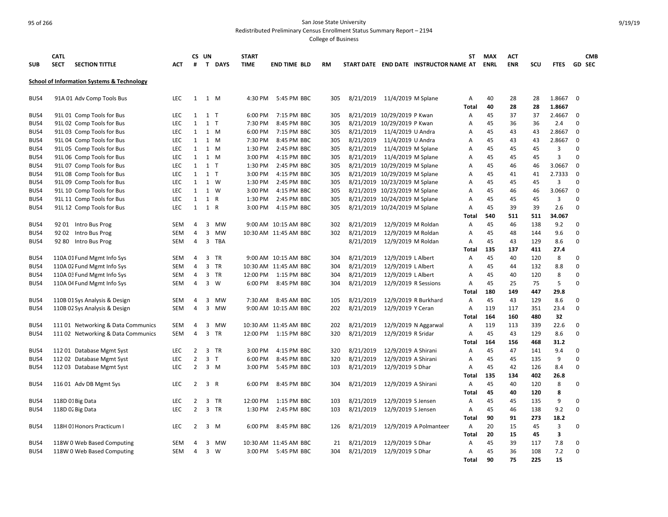Redistributed Preliminary Census Enrollment Status Summary Report – 2194

| <b>SUB</b> | <b>CATL</b><br><b>SECT</b> | <b>SECTION TITTLE</b>                                 | <b>ACT</b> | #              | CS UN<br>T.    | <b>DAYS</b> | <b>START</b><br><b>TIME</b> | <b>END TIME BLD</b>   | RM  |           |                               | START DATE END DATE INSTRUCTOR NAME AT | ST             | <b>MAX</b><br><b>ENRL</b> | <b>ACT</b><br><b>ENR</b> | SCU | <b>FTES</b>             |             | <b>CMB</b><br><b>GD SEC</b> |
|------------|----------------------------|-------------------------------------------------------|------------|----------------|----------------|-------------|-----------------------------|-----------------------|-----|-----------|-------------------------------|----------------------------------------|----------------|---------------------------|--------------------------|-----|-------------------------|-------------|-----------------------------|
|            |                            | <b>School of Information Systems &amp; Technology</b> |            |                |                |             |                             |                       |     |           |                               |                                        |                |                           |                          |     |                         |             |                             |
| BUS4       |                            | 91A 01 Adv Comp Tools Bus                             | <b>LEC</b> | 1              |                | 1 M         | 4:30 PM                     | 5:45 PM BBC           | 305 | 8/21/2019 | 11/4/2019 M Splane            |                                        | Α              | 40                        | 28                       | 28  | 1.8667                  | $\Omega$    |                             |
|            |                            |                                                       |            |                |                |             |                             |                       |     |           |                               |                                        | Total          | 40                        | 28                       | 28  | 1.8667                  |             |                             |
| BUS4       |                            | 91L 01 Comp Tools for Bus                             | <b>LEC</b> | 1              | 1 <sub>T</sub> |             | 6:00 PM                     | 7:15 PM BBC           | 305 |           | 8/21/2019 10/29/2019 P Kwan   |                                        | A              | 45                        | 37                       | 37  | 2.4667                  | $\mathbf 0$ |                             |
| BUS4       |                            | 91L 02 Comp Tools for Bus                             | LEC        | $\mathbf{1}$   | 1 <sub>T</sub> |             | 7:30 PM                     | 8:45 PM BBC           | 305 |           | 8/21/2019 10/29/2019 P Kwan   |                                        | A              | 45                        | 36                       | 36  | 2.4                     | $\Omega$    |                             |
| BUS4       |                            | 91L 03 Comp Tools for Bus                             | <b>LEC</b> | 1              |                | 1 M         | 6:00 PM                     | 7:15 PM BBC           | 305 | 8/21/2019 | 11/4/2019 U Andra             |                                        | A              | 45                        | 43                       | 43  | 2.8667                  | $\Omega$    |                             |
| BUS4       |                            | 91L 04 Comp Tools for Bus                             | <b>LEC</b> | 1              | 1 M            |             | 7:30 PM                     | 8:45 PM BBC           | 305 | 8/21/2019 | 11/4/2019 U Andra             |                                        | A              | 45                        | 43                       | 43  | 2.8667                  | $\mathbf 0$ |                             |
| BUS4       |                            | 91L 05 Comp Tools for Bus                             | <b>LEC</b> | 1              |                | 1 M         | 1:30 PM                     | 2:45 PM BBC           | 305 | 8/21/2019 | 11/4/2019 M Splane            |                                        | A              | 45                        | 45                       | 45  | 3                       | $\Omega$    |                             |
| BUS4       |                            | 91L 06 Comp Tools for Bus                             | <b>LEC</b> | $\mathbf{1}$   | 1 M            |             | 3:00 PM                     | 4:15 PM BBC           | 305 | 8/21/2019 | 11/4/2019 M Splane            |                                        | A              | 45                        | 45                       | 45  | 3                       | $\Omega$    |                             |
| BUS4       |                            | 91L 07 Comp Tools for Bus                             | <b>LEC</b> | $\mathbf{1}$   | $1$ T          |             | 1:30 PM                     | 2:45 PM BBC           | 305 |           | 8/21/2019 10/29/2019 M Splane |                                        | А              | 45                        | 46                       | 46  | 3.0667                  | $\Omega$    |                             |
| BUS4       |                            | 91L 08 Comp Tools for Bus                             | LEC        | $\mathbf{1}$   | $1$ T          |             | 3:00 PM                     | 4:15 PM BBC           | 305 |           | 8/21/2019 10/29/2019 M Splane |                                        | A              | 45                        | 41                       | 41  | 2.7333                  | $\mathbf 0$ |                             |
| BUS4       |                            | 91L 09 Comp Tools for Bus                             | <b>LEC</b> | $\mathbf{1}$   |                | 1 W         | 1:30 PM                     | 2:45 PM BBC           | 305 |           | 8/21/2019 10/23/2019 M Splane |                                        | A              | 45                        | 45                       | 45  | 3                       | $\Omega$    |                             |
| BUS4       |                            | 91L 10 Comp Tools for Bus                             | <b>LEC</b> | 1              | 1 W            |             | 3:00 PM                     | 4:15 PM BBC           | 305 |           | 8/21/2019 10/23/2019 M Splane |                                        | A              | 45                        | 46                       | 46  | 3.0667                  | $\mathbf 0$ |                             |
| BUS4       |                            | 91L 11 Comp Tools for Bus                             | <b>LEC</b> | 1              | 1 R            |             | 1:30 PM                     | 2:45 PM BBC           | 305 |           | 8/21/2019 10/24/2019 M Splane |                                        | A              | 45                        | 45                       | 45  | 3                       | $\Omega$    |                             |
| BUS4       |                            | 91L 12 Comp Tools for Bus                             | LEC        | 1              | 1 R            |             | 3:00 PM                     | 4:15 PM BBC           | 305 |           | 8/21/2019 10/24/2019 M Splane |                                        | Α              | 45                        | 39                       | 39  | 2.6                     | 0           |                             |
|            |                            |                                                       |            |                |                |             |                             |                       |     |           |                               |                                        | Total          | 540                       | 511                      | 511 | 34.067                  |             |                             |
| BUS4       |                            | 92 01 Intro Bus Prog                                  | <b>SEM</b> | $\overline{a}$ | 3              | <b>MW</b>   |                             | 9:00 AM 10:15 AM BBC  | 302 | 8/21/2019 | 12/9/2019 M Roldan            |                                        | A              | 45                        | 46                       | 138 | 9.2                     | 0           |                             |
| BUS4       |                            | 92 02 Intro Bus Prog                                  | <b>SEM</b> | 4              | 3              | <b>MW</b>   |                             | 10:30 AM 11:45 AM BBC | 302 | 8/21/2019 | 12/9/2019 M Roldan            |                                        | A              | 45                        | 48                       | 144 | 9.6                     | $\mathbf 0$ |                             |
| BUS4       | 92 80                      | Intro Bus Prog                                        | SEM        | 4              | 3              | <b>TBA</b>  |                             |                       |     | 8/21/2019 | 12/9/2019 M Roldan            |                                        | Α              | 45                        | 43                       | 129 | 8.6                     | 0           |                             |
|            |                            |                                                       |            |                |                |             |                             |                       |     |           |                               |                                        | Total          | 135                       | 137                      | 411 | 27.4                    |             |                             |
| BUS4       |                            | 110A 01 Fund Mgmt Info Sys                            | SEM        | 4              | 3              | <b>TR</b>   |                             | 9:00 AM 10:15 AM BBC  | 304 | 8/21/2019 | 12/9/2019 L Albert            |                                        | A              | 45                        | 40                       | 120 | 8                       | $\Omega$    |                             |
| BUS4       |                            | 110A 02 Fund Mgmt Info Sys                            | <b>SEM</b> | 4              |                | 3 TR        |                             | 10:30 AM 11:45 AM BBC | 304 | 8/21/2019 | 12/9/2019 L Albert            |                                        | A              | 45                        | 44                       | 132 | 8.8                     | $\Omega$    |                             |
| BUS4       |                            | 110A 03 Fund Mgmt Info Sys                            | <b>SEM</b> | 4              | 3              | TR          | 12:00 PM                    | 1:15 PM BBC           | 304 | 8/21/2019 | 12/9/2019 L Albert            |                                        | A              | 45                        | 40                       | 120 | 8                       | 0           |                             |
| BUS4       |                            | 110A 04 Fund Mgmt Info Sys                            | SEM        | 4              | $\mathbf{3}$   | W           | 6:00 PM                     | 8:45 PM BBC           | 304 | 8/21/2019 | 12/9/2019 R Sessions          |                                        | A              | 45                        | 25                       | 75  | 5                       | $\Omega$    |                             |
|            |                            |                                                       |            |                |                |             |                             |                       |     |           |                               |                                        | Total          | 180                       | 149                      | 447 | 29.8                    |             |                             |
| BUS4       |                            | 110B 01 Sys Analysis & Design                         | SEM        | 4              | 3              | MW          | 7:30 AM                     | 8:45 AM BBC           | 105 | 8/21/2019 |                               | 12/9/2019 R Burkhard                   | Α              | 45                        | 43                       | 129 | 8.6                     | 0           |                             |
| BUS4       |                            | 110B 02 Sys Analysis & Design                         | SEM        | 4              | 3              | <b>MW</b>   |                             | 9:00 AM 10:15 AM BBC  | 202 | 8/21/2019 | 12/9/2019 Y Ceran             |                                        | A              | 119                       | 117                      | 351 | 23.4                    | 0           |                             |
|            |                            |                                                       |            |                |                |             |                             |                       |     |           |                               |                                        | Total          | 164                       | 160                      | 480 | 32                      |             |                             |
| BUS4       |                            | 111 01 Networking & Data Communics                    | <b>SEM</b> | 4              | 3              | <b>MW</b>   |                             | 10:30 AM 11:45 AM BBC | 202 | 8/21/2019 |                               | 12/9/2019 N Aggarwal                   | A              | 119                       | 113                      | 339 | 22.6                    | 0           |                             |
| BUS4       |                            | 11102 Networking & Data Communics                     | SEM        | 4              | 3              | TR          | 12:00 PM                    | 1:15 PM BBC           | 320 | 8/21/2019 | 12/9/2019 R Sridar            |                                        | Α              | 45                        | 43                       | 129 | 8.6                     | $\mathbf 0$ |                             |
|            |                            |                                                       |            |                |                |             |                             |                       |     |           |                               |                                        | Total          | 164                       | 156                      | 468 | 31.2                    |             |                             |
| BUS4       |                            | 112 01 Database Mgmt Syst                             | <b>LEC</b> | 2              | $\overline{3}$ | TR          | 3:00 PM                     | 4:15 PM BBC           | 320 | 8/21/2019 | 12/9/2019 A Shirani           |                                        | A              | 45                        | 47                       | 141 | 9.4                     | $\Omega$    |                             |
| BUS4       |                            | 112 02 Database Mgmt Syst                             | <b>LEC</b> | $\overline{2}$ | 3 <sub>1</sub> |             | 6:00 PM                     | 8:45 PM BBC           | 320 | 8/21/2019 | 12/9/2019 A Shirani           |                                        | $\overline{A}$ | 45                        | 45                       | 135 | 9                       | $\Omega$    |                             |
| BUS4       |                            | 112 03 Database Mgmt Syst                             | <b>LEC</b> | $\overline{2}$ |                | $3 \, M$    | 3:00 PM                     | 5:45 PM BBC           | 103 | 8/21/2019 | 12/9/2019 S Dhar              |                                        | A              | 45                        | 42                       | 126 | 8.4                     | $\Omega$    |                             |
|            |                            |                                                       |            |                |                |             |                             |                       |     |           |                               |                                        | Total          | 135                       | 134                      | 402 | 26.8                    |             |                             |
| BUS4       |                            | 116 01 Adv DB Mgmt Sys                                | <b>LEC</b> | $\overline{2}$ | 3 R            |             | 6:00 PM                     | 8:45 PM BBC           | 304 | 8/21/2019 | 12/9/2019 A Shirani           |                                        | Α              | 45                        | 40                       | 120 | 8                       | $\Omega$    |                             |
|            |                            |                                                       |            |                |                |             |                             |                       |     |           |                               |                                        | <b>Total</b>   | 45                        | 40                       | 120 | 8                       |             |                             |
| BUS4       |                            | 118D 01 Big Data                                      | <b>LEC</b> | $\overline{2}$ |                | 3 TR        | 12:00 PM                    | 1:15 PM BBC           | 103 | 8/21/2019 | 12/9/2019 S Jensen            |                                        | Α              | 45                        | 45                       | 135 | 9                       | $\Omega$    |                             |
| BUS4       |                            | 118D 02 Big Data                                      | <b>LEC</b> | $\overline{2}$ |                | 3 TR        | 1:30 PM                     | 2:45 PM BBC           | 103 | 8/21/2019 | 12/9/2019 S Jensen            |                                        | Α              | 45                        | 46                       | 138 | 9.2                     | 0           |                             |
|            |                            |                                                       |            |                |                |             |                             |                       |     |           |                               |                                        | Total          | 90                        | 91                       | 273 | 18.2                    |             |                             |
| BUS4       |                            | 118H 01 Honors Practicum I                            | <b>LEC</b> | 2              | 3              | M           | 6:00 PM                     | 8:45 PM BBC           | 126 | 8/21/2019 |                               | 12/9/2019 A Polmanteer                 | Α              | 20                        | 15                       | 45  | 3                       | $\Omega$    |                             |
|            |                            |                                                       |            |                |                |             |                             |                       |     |           |                               |                                        | Total          | 20                        | 15                       | 45  | $\overline{\mathbf{3}}$ |             |                             |
| BUS4       |                            | 118W 0 Web Based Computing                            | SEM        | 4              | 3              | мw          |                             | 10:30 AM 11:45 AM BBC | 21  | 8/21/2019 | 12/9/2019 S Dhar              |                                        | Α              | 45                        | 39                       | 117 | 7.8                     | 0           |                             |
| BUS4       |                            | 118W 0 Web Based Computing                            | SEM        | 4              |                | $3 \quad W$ | 3:00 PM                     | 5:45 PM BBC           | 304 | 8/21/2019 | 12/9/2019 S Dhar              |                                        | A              | 45                        | 36                       | 108 | 7.2                     | 0           |                             |
|            |                            |                                                       |            |                |                |             |                             |                       |     |           |                               |                                        | Total          | 90                        | 75                       | 225 | 15                      |             |                             |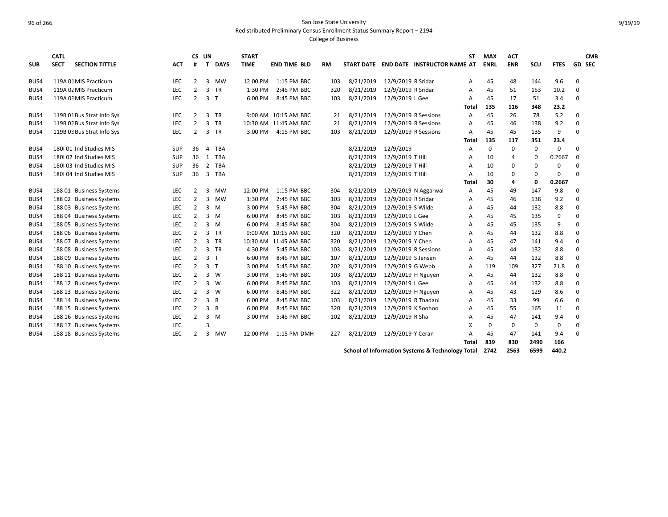Redistributed Preliminary Census Enrollment Status Summary Report – 2194

College of Business

| <b>SUB</b> | <b>CATL</b><br><b>SECT</b> | <b>SECTION TITTLE</b>      | <b>ACT</b> | CS UN<br>#     | T              | <b>DAYS</b>  | <b>START</b><br><b>TIME</b> | <b>END TIME BLD</b>   | <b>RM</b> |           |                      | START DATE END DATE INSTRUCTOR NAME AT | <b>ST</b> | <b>MAX</b><br><b>ENRL</b> | <b>ACT</b><br><b>ENR</b> | scu  | <b>FTES</b> | <b>CMB</b><br>GD SEC |
|------------|----------------------------|----------------------------|------------|----------------|----------------|--------------|-----------------------------|-----------------------|-----------|-----------|----------------------|----------------------------------------|-----------|---------------------------|--------------------------|------|-------------|----------------------|
| BUS4       |                            | 119A 01 MIS Practicum      | <b>LEC</b> | $\overline{2}$ | 3              | MW           | 12:00 PM                    | 1:15 PM BBC           | 103       | 8/21/2019 | 12/9/2019 R Sridar   |                                        | A         | 45                        | 48                       | 144  | 9.6         | $\Omega$             |
| BUS4       |                            | 119A 02 MIS Practicum      | <b>LEC</b> | $\overline{2}$ | 3              | <b>TR</b>    | 1:30 PM                     | 2:45 PM BBC           | 320       | 8/21/2019 | 12/9/2019 R Sridar   |                                        | А         | 45                        | 51                       | 153  | 10.2        | $\Omega$             |
| BUS4       |                            | 119A 03 MIS Practicum      | LEC        | $\overline{2}$ | $\overline{3}$ | $\mathsf{T}$ | 6:00 PM                     | 8:45 PM BBC           | 103       | 8/21/2019 | 12/9/2019 L Gee      |                                        | A         | 45                        | 17                       | 51   | 3.4         | $\Omega$             |
|            |                            |                            |            |                |                |              |                             |                       |           |           |                      |                                        | Total     | 135                       | 116                      | 348  | 23.2        |                      |
| BUS4       |                            | 119B 01 Bus Strat Info Sys | LEC        | $\overline{2}$ | 3 TR           |              |                             | 9:00 AM 10:15 AM BBC  | 21        | 8/21/2019 | 12/9/2019 R Sessions |                                        | A         | 45                        | 26                       | 78   | 5.2         | $\Omega$             |
| BUS4       |                            | 119B 02 Bus Strat Info Sys | <b>LEC</b> | 2              | 3              | <b>TR</b>    |                             | 10:30 AM 11:45 AM BBC | 21        | 8/21/2019 | 12/9/2019 R Sessions |                                        | A         | 45                        | 46                       | 138  | 9.2         | $\Omega$             |
| BUS4       |                            | 119B 03 Bus Strat Info Sys | LEC        | 2              | 3              | <b>TR</b>    | $3:00$ PM                   | 4:15 PM BBC           | 103       | 8/21/2019 | 12/9/2019 R Sessions |                                        | A         | 45                        | 45                       | 135  | 9           | $\Omega$             |
|            |                            |                            |            |                |                |              |                             |                       |           |           |                      |                                        | Total     | 135                       | 117                      | 351  | 23.4        |                      |
| BUS4       |                            | 180101 Ind Studies MIS     | <b>SUP</b> | 36             | 4              | <b>TBA</b>   |                             |                       |           | 8/21/2019 | 12/9/2019            |                                        | A         | $\mathbf 0$               | 0                        | 0    | 0           | $\Omega$             |
| BUS4       |                            | 180102 Ind Studies MIS     | SUP        | 36             | 1              | <b>TBA</b>   |                             |                       |           | 8/21/2019 | 12/9/2019 T Hill     |                                        | A         | 10                        | 4                        | 0    | 0.2667      | $\Omega$             |
| BUS4       |                            | 180103 Ind Studies MIS     | <b>SUP</b> | 36             | 2              | <b>TBA</b>   |                             |                       |           | 8/21/2019 | 12/9/2019 T Hill     |                                        | A         | 10                        | 0                        | 0    | 0           | $\Omega$             |
| BUS4       |                            | 180104 Ind Studies MIS     | SUP        | 36             | 3              | <b>TBA</b>   |                             |                       |           | 8/21/2019 | 12/9/2019 T Hill     |                                        | А         | 10                        | 0                        | 0    | $\Omega$    | $\Omega$             |
|            |                            |                            |            |                |                |              |                             |                       |           |           |                      |                                        | Total     | 30                        | 4                        | 0    | 0.2667      |                      |
| BUS4       |                            | 188 01 Business Systems    | <b>LEC</b> | $\overline{2}$ | 3              | <b>MW</b>    | 12:00 PM                    | 1:15 PM BBC           | 304       | 8/21/2019 |                      | 12/9/2019 N Aggarwal                   | A         | 45                        | 49                       | 147  | 9.8         | $\Omega$             |
| BUS4       |                            | 188 02 Business Systems    | <b>LEC</b> | $\overline{2}$ | 3              | <b>MW</b>    | 1:30 PM                     | 2:45 PM BBC           | 103       | 8/21/2019 | 12/9/2019 R Sridar   |                                        | А         | 45                        | 46                       | 138  | 9.2         | $\Omega$             |
| BUS4       | 18803                      | <b>Business Systems</b>    | <b>LEC</b> | 2              | 3              | M            | 3:00 PM                     | 5:45 PM BBC           | 304       | 8/21/2019 | 12/9/2019 S Wilde    |                                        | А         | 45                        | 44                       | 132  | 8.8         | $\Omega$             |
| BUS4       | 18804                      | <b>Business Systems</b>    | <b>LEC</b> | 2              | 3              | M            | 6:00 PM                     | 8:45 PM BBC           | 103       | 8/21/2019 | 12/9/2019 L Gee      |                                        | A         | 45                        | 45                       | 135  | 9           |                      |
| BUS4       | 18805                      | <b>Business Systems</b>    | LEC        | 2              | 3              | M            | 6:00 PM                     | 8:45 PM BBC           | 304       | 8/21/2019 | 12/9/2019 S Wilde    |                                        | A         | 45                        | 45                       | 135  | 9           | $\Omega$             |
| BUS4       |                            | 188 06 Business Systems    | LEC        | $\overline{2}$ | 3              | <b>TR</b>    |                             | 9:00 AM 10:15 AM BBC  | 320       | 8/21/2019 | 12/9/2019 Y Chen     |                                        | A         | 45                        | 44                       | 132  | 8.8         | $\Omega$             |
| BUS4       |                            | 188 07 Business Systems    | LEC        | 2              | 3              | <b>TR</b>    |                             | 10:30 AM 11:45 AM BBC | 320       | 8/21/2019 | 12/9/2019 Y Chen     |                                        | A         | 45                        | 47                       | 141  | 9.4         | $\Omega$             |
| BUS4       |                            | 188 08 Business Systems    | LEC        | 2              | 3 TR           |              | 4:30 PM                     | 5:45 PM BBC           | 103       | 8/21/2019 | 12/9/2019 R Sessions |                                        | A         | 45                        | 44                       | 132  | 8.8         | $\Omega$             |
| BUS4       | 18809                      | <b>Business Systems</b>    | <b>LEC</b> | 2              | 3 <sub>7</sub> |              | 6:00 PM                     | 8:45 PM BBC           | 107       | 8/21/2019 | 12/9/2019 S Jensen   |                                        | А         | 45                        | 44                       | 132  | 8.8         | $\Omega$             |
| BUS4       | 188 10                     | <b>Business Systems</b>    | LEC        | 2              | 3 <sub>T</sub> |              | 3:00 PM                     | 5:45 PM BBC           | 202       | 8/21/2019 | 12/9/2019 G Webb     |                                        | A         | 119                       | 109                      | 327  | 21.8        | $\Omega$             |
| BUS4       | 188 11                     | <b>Business Systems</b>    | LEC        | 2              | $3 \quad W$    |              | 3:00 PM                     | 5:45 PM BBC           | 103       | 8/21/2019 | 12/9/2019 H Nguyen   |                                        | A         | 45                        | 44                       | 132  | 8.8         | $\Omega$             |
| BUS4       | 188 12                     | <b>Business Systems</b>    | LEC        | 2              | $3 \quad W$    |              | 6:00 PM                     | 8:45 PM BBC           | 103       | 8/21/2019 | 12/9/2019 L Gee      |                                        | А         | 45                        | 44                       | 132  | 8.8         | $\Omega$             |
| BUS4       | 188 13                     | <b>Business Systems</b>    | <b>LEC</b> | 2              | $3 \quad W$    |              | 6:00 PM                     | 8:45 PM BBC           | 322       | 8/21/2019 | 12/9/2019 H Nguyen   |                                        | A         | 45                        | 43                       | 129  | 8.6         | $\Omega$             |
| BUS4       |                            | 188 14 Business Systems    | LEC        | 2              | 3 R            |              | 6:00 PM                     | 8:45 PM BBC           | 103       | 8/21/2019 | 12/9/2019 R Thadani  |                                        | A         | 45                        | 33                       | 99   | 6.6         | $\Omega$             |
| BUS4       |                            | 188 15 Business Systems    | LEC        | 2              | 3 R            |              | 6:00 PM                     | 8:45 PM BBC           | 320       | 8/21/2019 | 12/9/2019 K Soohoo   |                                        | A         | 45                        | 55                       | 165  | 11          | $\Omega$             |
| BUS4       |                            | 188 16 Business Systems    | LEC        | 2              | 3              | M            | 3:00 PM                     | 5:45 PM BBC           | 102       | 8/21/2019 | 12/9/2019 R Sha      |                                        | A         | 45                        | 47                       | 141  | 9.4         | $\Omega$             |
| BUS4       |                            | 188 17 Business Systems    | LEC        |                | 3              |              |                             |                       |           |           |                      |                                        | x         | 0                         | 0                        | 0    | 0           | $\Omega$             |
| BUS4       |                            | 188 18 Business Systems    | LEC        | 2              | 3              | MW           | 12:00 PM                    | 1:15 PM DMH           | 227       | 8/21/2019 | 12/9/2019 Y Ceran    |                                        | Δ         | 45                        | 47                       | 141  | 9.4         | $\Omega$             |
|            |                            |                            |            |                |                |              |                             |                       |           |           |                      |                                        | Total     | 839                       | 830                      | 2490 | 166         |                      |
|            |                            |                            |            |                |                |              |                             |                       |           | .         |                      | .                                      |           |                           |                          |      |             |                      |

**School of Information Systems & Technology Total 2742 2563 6599 440.2**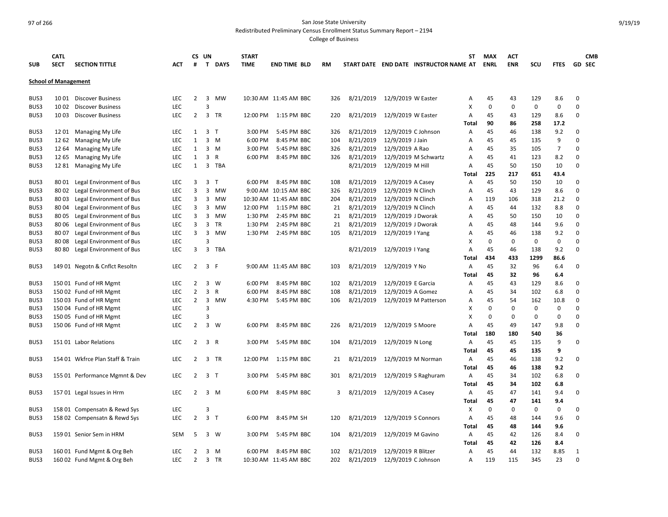Redistributed Preliminary Census Enrollment Status Summary Report – 2194

| <b>SUB</b>                  | <b>CATL</b><br><b>SECT</b> | <b>SECTION TITTLE</b>            | <b>ACT</b> | #              | CS UN<br>T.             | <b>DAYS</b>  | <b>START</b><br><b>TIME</b> | <b>END TIME BLD</b>   | <b>RM</b> |           |                     | START DATE END DATE INSTRUCTOR NAME AT | SΤ             | <b>MAX</b><br><b>ENRL</b> | ACT<br><b>ENR</b> | SCU         | <b>FTES</b>    |              | <b>CMB</b><br><b>GD SEC</b> |
|-----------------------------|----------------------------|----------------------------------|------------|----------------|-------------------------|--------------|-----------------------------|-----------------------|-----------|-----------|---------------------|----------------------------------------|----------------|---------------------------|-------------------|-------------|----------------|--------------|-----------------------------|
| <b>School of Management</b> |                            |                                  |            |                |                         |              |                             |                       |           |           |                     |                                        |                |                           |                   |             |                |              |                             |
| BUS3                        | 10 01                      | <b>Discover Business</b>         | <b>LEC</b> | $\overline{2}$ | 3                       | <b>MW</b>    |                             | 10:30 AM 11:45 AM BBC | 326       | 8/21/2019 | 12/9/2019 W Easter  |                                        | А              | 45                        | 43                | 129         | 8.6            | 0            |                             |
| BUS3                        | 10 02                      | <b>Discover Business</b>         | LEC        |                | 3                       |              |                             |                       |           |           |                     |                                        | X              | 0                         | 0                 | $\mathbf 0$ | 0              | $\Omega$     |                             |
| BUS3                        | 10 03                      | <b>Discover Business</b>         | LEC        | $\overline{2}$ | 3                       | <b>TR</b>    | 12:00 PM                    | 1:15 PM BBC           | 220       | 8/21/2019 | 12/9/2019 W Easter  |                                        | А              | 45                        | 43                | 129         | 8.6            | 0            |                             |
|                             |                            |                                  |            |                |                         |              |                             |                       |           |           |                     |                                        | Total          | 90                        | 86                | 258         | 17.2           |              |                             |
| BUS3                        | 1201                       | Managing My Life                 | <b>LEC</b> | $\mathbf{1}$   | $\overline{3}$          | $\mathsf{T}$ | 3:00 PM                     | 5:45 PM BBC           | 326       | 8/21/2019 | 12/9/2019 C Johnson |                                        | A              | 45                        | 46                | 138         | 9.2            | 0            |                             |
| BUS3                        | 12 62                      | Managing My Life                 | LEC        | $\mathbf{1}$   | $3 \, M$                |              | 6:00 PM                     | 8:45 PM BBC           | 104       | 8/21/2019 | 12/9/2019 J Jain    |                                        | Α              | 45                        | 45                | 135         | 9              | $\mathbf 0$  |                             |
| BUS3                        | 12 64                      | Managing My Life                 | <b>LEC</b> | $\mathbf{1}$   | $\overline{\mathbf{3}}$ | M            | 3:00 PM                     | 5:45 PM BBC           | 326       | 8/21/2019 | 12/9/2019 A Rao     |                                        | А              | 45                        | 35                | 105         | $\overline{7}$ | $\mathbf 0$  |                             |
| BUS3                        | 12 65                      | Managing My Life                 | LEC        | $\mathbf{1}$   | $\overline{\mathbf{3}}$ | R            | 6:00 PM                     | 8:45 PM BBC           | 326       | 8/21/2019 |                     | 12/9/2019 M Schwartz                   | А              | 45                        | 41                | 123         | 8.2            | $\mathbf 0$  |                             |
| BUS3                        | 12 81                      | Managing My Life                 | <b>LEC</b> | $\mathbf{1}$   | $\overline{3}$          | <b>TBA</b>   |                             |                       |           | 8/21/2019 | 12/9/2019 M Hill    |                                        | A              | 45                        | 50                | 150         | 10             | $\Omega$     |                             |
|                             |                            |                                  |            |                |                         |              |                             |                       |           |           |                     |                                        | Total          | 225                       | 217               | 651         | 43.4           |              |                             |
| BUS3                        | 8001                       | Legal Environment of Bus         | LEC        | 3              | 3                       | $\mathsf{T}$ | 6:00 PM                     | 8:45 PM BBC           | 108       | 8/21/2019 | 12/9/2019 A Casey   |                                        | A              | 45                        | 50                | 150         | 10             | 0            |                             |
| BUS3                        | 8002                       | Legal Environment of Bus         | <b>LEC</b> | 3              | 3                       | <b>MW</b>    |                             | 9:00 AM 10:15 AM BBC  | 326       | 8/21/2019 | 12/9/2019 N Clinch  |                                        | A              | 45                        | 43                | 129         | 8.6            | $\mathbf 0$  |                             |
| BUS3                        | 8003                       | Legal Environment of Bus         | <b>LEC</b> | 3              | 3                       | MW           |                             | 10:30 AM 11:45 AM BBC | 204       | 8/21/2019 | 12/9/2019 N Clinch  |                                        | $\overline{A}$ | 119                       | 106               | 318         | 21.2           | $\mathbf 0$  |                             |
| BUS3                        | 8004                       | Legal Environment of Bus         | LEC        | 3              | 3                       | MW           | 12:00 PM                    | 1:15 PM BBC           | 21        | 8/21/2019 | 12/9/2019 N Clinch  |                                        | Α              | 45                        | 44                | 132         | 8.8            | $\mathbf 0$  |                             |
| BUS3                        | 8005                       | Legal Environment of Bus         | <b>LEC</b> | 3              | 3                       | MW           | 1:30 PM                     | 2:45 PM BBC           | 21        | 8/21/2019 | 12/9/2019 J Dworak  |                                        | A              | 45                        | 50                | 150         | 10             | $\Omega$     |                             |
| BUS3                        | 80 06                      | Legal Environment of Bus         | <b>LEC</b> | 3              | $\overline{\mathbf{3}}$ | <b>TR</b>    | 1:30 PM                     | 2:45 PM BBC           | 21        | 8/21/2019 | 12/9/2019 J Dworak  |                                        | А              | 45                        | 48                | 144         | 9.6            | $\Omega$     |                             |
| BUS3                        | 8007                       | Legal Environment of Bus         | LEC        | 3              | 3                       | MW           | 1:30 PM                     | 2:45 PM BBC           | 105       | 8/21/2019 | 12/9/2019   Yang    |                                        | А              | 45                        | 46                | 138         | 9.2            | $\Omega$     |                             |
| BUS3                        | 8008                       | Legal Environment of Bus         | <b>LEC</b> |                | $\overline{3}$          |              |                             |                       |           |           |                     |                                        | x              | 0                         | 0                 | 0           | 0              | 0            |                             |
| BUS3                        | 8080                       | Legal Environment of Bus         | <b>LEC</b> | 3              | $\overline{3}$          | <b>TBA</b>   |                             |                       |           | 8/21/2019 | 12/9/2019   Yang    |                                        | Α              | 45                        | 46                | 138         | 9.2            | $\Omega$     |                             |
|                             |                            |                                  |            |                |                         |              |                             |                       |           |           |                     |                                        | Total          | 434                       | 433               | 1299        | 86.6           |              |                             |
| BUS3                        |                            | 149 01 Negotn & Cnflct Resoltn   | LEC        | $\overline{2}$ | 3 F                     |              |                             | 9:00 AM 11:45 AM BBC  | 103       | 8/21/2019 | 12/9/2019 Y No      |                                        | Α              | 45                        | 32                | 96          | 6.4            | $\Omega$     |                             |
|                             |                            |                                  |            |                |                         |              |                             |                       |           |           |                     |                                        | Total          | 45                        | 32                | 96          | 6.4            |              |                             |
| BUS3                        |                            | 150 01 Fund of HR Mgmt           | <b>LEC</b> | 2              | 3                       | W            | 6:00 PM                     | 8:45 PM BBC           | 102       | 8/21/2019 | 12/9/2019 E Garcia  |                                        | A              | 45                        | 43                | 129         | 8.6            | 0            |                             |
| BUS3                        |                            | 150 02 Fund of HR Mgmt           | <b>LEC</b> | $\overline{2}$ | 3                       | $\mathsf{R}$ | 6:00 PM                     | 8:45 PM BBC           | 108       | 8/21/2019 | 12/9/2019 A Gomez   |                                        | A              | 45                        | 34                | 102         | 6.8            | $\mathbf 0$  |                             |
| BUS3                        |                            | 150 03 Fund of HR Mgmt           | LEC        | $\overline{2}$ | 3                       | MW           | 4:30 PM                     | 5:45 PM BBC           | 106       | 8/21/2019 |                     | 12/9/2019 M Patterson                  | Α              | 45                        | 54                | 162         | 10.8           | $\mathbf 0$  |                             |
| BUS3                        |                            | 150 04 Fund of HR Mgmt           | <b>LEC</b> |                | 3                       |              |                             |                       |           |           |                     |                                        | x              | 0                         | 0                 | $\mathbf 0$ | 0              | 0            |                             |
| BUS3                        |                            | 150 05 Fund of HR Mgmt           | <b>LEC</b> |                | 3                       |              |                             |                       |           |           |                     |                                        | x              | 0                         | 0                 | 0           | 0              | $\Omega$     |                             |
| BUS3                        |                            | 150 06 Fund of HR Mgmt           | <b>LEC</b> | $\overline{2}$ | $\overline{3}$          | W            | 6:00 PM                     | 8:45 PM BBC           | 226       | 8/21/2019 | 12/9/2019 S Moore   |                                        | A              | 45                        | 49                | 147         | 9.8            | 0            |                             |
|                             |                            |                                  |            |                |                         |              |                             |                       |           |           |                     |                                        | Total          | 180                       | 180               | 540         | 36             |              |                             |
| BUS3                        |                            | 151 01 Labor Relations           | LEC        | $\overline{2}$ | 3 R                     |              | 3:00 PM                     | 5:45 PM BBC           | 104       | 8/21/2019 | 12/9/2019 N Long    |                                        | Α              | 45                        | 45                | 135         | 9              | 0            |                             |
|                             |                            |                                  |            |                |                         |              |                             |                       |           |           |                     |                                        | Total          | 45                        | 45                | 135         | 9              |              |                             |
| BUS3                        |                            | 154 01 Wkfrce Plan Staff & Train | LEC        | $\overline{2}$ | $\overline{3}$          | <b>TR</b>    | 12:00 PM                    | 1:15 PM BBC           | 21        | 8/21/2019 |                     | 12/9/2019 M Norman                     | Α              | 45                        | 46                | 138         | 9.2            | $\Omega$     |                             |
|                             |                            |                                  |            |                |                         |              |                             |                       |           |           |                     |                                        | Total          | 45                        | 46                | 138         | 9.2            |              |                             |
| BUS3                        |                            | 155 01 Performance Mgmnt & Dev   | LEC        | $\overline{2}$ | 3 <sub>1</sub>          |              | 3:00 PM                     | 5:45 PM BBC           | 301       | 8/21/2019 |                     | 12/9/2019 S Raghuram                   | Α              | 45                        | 34                | 102         | 6.8            | 0            |                             |
|                             |                            |                                  |            |                |                         |              |                             |                       |           |           |                     |                                        | Total          | 45                        | 34                | 102         | 6.8            |              |                             |
| BUS3                        |                            | 157 01 Legal Issues in Hrm       | LEC        | $\overline{2}$ | $\overline{\mathbf{3}}$ | M            | 6:00 PM                     | 8:45 PM BBC           | 3         | 8/21/2019 | 12/9/2019 A Casey   |                                        | A              | 45                        | 47                | 141         | 9.4            | $\mathbf 0$  |                             |
|                             |                            |                                  |            |                |                         |              |                             |                       |           |           |                     |                                        | Total          | 45                        | 47                | 141         | 9.4            |              |                             |
| BUS3                        |                            | 158 01 Compensatn & Rewd Sys     | LEC        |                | 3                       |              |                             |                       |           |           |                     |                                        | X              | 0                         | $\mathbf 0$       | 0           | 0              | 0            |                             |
| BUS3                        |                            | 158 02 Compensatn & Rewd Sys     | <b>LEC</b> | $\overline{2}$ | 3 <sub>1</sub>          |              | 6:00 PM                     | 8:45 PM SH            | 120       | 8/21/2019 | 12/9/2019 S Connors |                                        | A              | 45                        | 48                | 144         | 9.6            | $\Omega$     |                             |
|                             |                            |                                  |            |                |                         |              |                             |                       |           |           |                     |                                        | <b>Total</b>   | 45                        | 48                | 144         | 9.6            |              |                             |
| BUS3                        |                            | 159 01 Senior Sem in HRM         | <b>SEM</b> | 5              | 3 W                     |              | 3:00 PM                     | 5:45 PM BBC           | 104       | 8/21/2019 | 12/9/2019 M Gavino  |                                        | Α              | 45                        | 42                | 126         | 8.4            | 0            |                             |
|                             |                            |                                  |            |                |                         |              |                             |                       |           |           |                     |                                        | Total          | 45                        | 42                | 126         | 8.4            |              |                             |
| BUS3                        |                            | 160 01 Fund Mgmt & Org Beh       | LEC        | $\overline{2}$ | 3                       | M            | 6:00 PM                     | 8:45 PM BBC           | 102       | 8/21/2019 | 12/9/2019 R Blitzer |                                        | Α              | 45                        | 44                | 132         | 8.85           | $\mathbf{1}$ |                             |
| BUS3                        |                            | 160 02 Fund Mgmt & Org Beh       | LEC        | $\overline{2}$ | $\overline{3}$          | <b>TR</b>    |                             | 10:30 AM 11:45 AM BBC | 202       | 8/21/2019 | 12/9/2019 C Johnson |                                        | Α              | 119                       | 115               | 345         | 23             | $\Omega$     |                             |
|                             |                            |                                  |            |                |                         |              |                             |                       |           |           |                     |                                        |                |                           |                   |             |                |              |                             |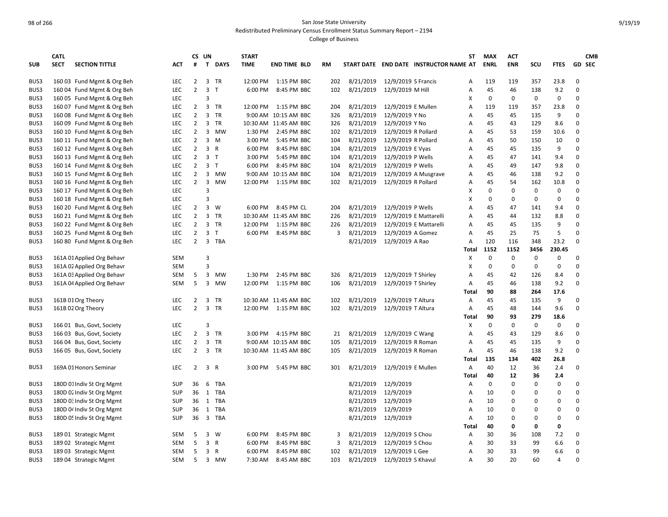Redistributed Preliminary Census Enrollment Status Summary Report – 2194

|            | <b>CATL</b> |                            |            | CS UN          |                |           | <b>START</b> |                       |     |           |                     |                                        | <b>ST</b>      | <b>MAX</b>  | <b>ACT</b>  |             |                |             | <b>CMB</b>    |
|------------|-------------|----------------------------|------------|----------------|----------------|-----------|--------------|-----------------------|-----|-----------|---------------------|----------------------------------------|----------------|-------------|-------------|-------------|----------------|-------------|---------------|
| <b>SUB</b> | <b>SECT</b> | <b>SECTION TITTLE</b>      | ACT        | #              |                | T DAYS    | <b>TIME</b>  | <b>END TIME BLD</b>   | RM  |           |                     | START DATE END DATE INSTRUCTOR NAME AT |                | <b>ENRL</b> | <b>ENR</b>  | scu         | <b>FTES</b>    |             | <b>GD SEC</b> |
| BUS3       |             | 160 03 Fund Mgmt & Org Beh | LEC        | $\overline{2}$ |                | 3 TR      | 12:00 PM     | 1:15 PM BBC           | 202 | 8/21/2019 | 12/9/2019 S Francis |                                        | A              | 119         | 119         | 357         | 23.8           | 0           |               |
| BUS3       |             | 160 04 Fund Mgmt & Org Beh | <b>LEC</b> | $\overline{2}$ | 3 <sub>T</sub> |           | 6:00 PM      | 8:45 PM BBC           | 102 | 8/21/2019 | 12/9/2019 M Hill    |                                        | $\overline{A}$ | 45          | 46          | 138         | 9.2            | $\Omega$    |               |
| BUS3       |             | 160 05 Fund Mgmt & Org Beh | LEC        |                | 3              |           |              |                       |     |           |                     |                                        | x              | 0           | 0           | 0           | 0              | $\Omega$    |               |
| BUS3       |             | 160 07 Fund Mgmt & Org Beh | <b>LEC</b> | $\overline{2}$ |                | 3 TR      | 12:00 PM     | 1:15 PM BBC           | 204 | 8/21/2019 | 12/9/2019 E Mullen  |                                        | A              | 119         | 119         | 357         | 23.8           | $\Omega$    |               |
| BUS3       |             | 160 08 Fund Mgmt & Org Beh | <b>LEC</b> | $\overline{2}$ | 3              | <b>TR</b> |              | 9:00 AM 10:15 AM BBC  | 326 | 8/21/2019 | 12/9/2019 Y No      |                                        | A              | 45          | 45          | 135         | 9              | $\Omega$    |               |
| BUS3       |             | 160 09 Fund Mgmt & Org Beh | <b>LEC</b> | $\overline{2}$ |                | 3 TR      |              | 10:30 AM 11:45 AM BBC | 326 | 8/21/2019 | 12/9/2019 Y No      |                                        | A              | 45          | 43          | 129         | 8.6            | $\Omega$    |               |
| BUS3       |             | 160 10 Fund Mgmt & Org Beh | <b>LEC</b> | $\overline{2}$ | 3              | MW        | 1:30 PM      | 2:45 PM BBC           | 102 | 8/21/2019 | 12/9/2019 R Pollard |                                        | A              | 45          | 53          | 159         | 10.6           | 0           |               |
| BUS3       |             | 160 11 Fund Mgmt & Org Beh | <b>LEC</b> | $\overline{2}$ |                | 3 M       | 3:00 PM      | 5:45 PM BBC           | 104 | 8/21/2019 | 12/9/2019 R Pollard |                                        | A              | 45          | 50          | 150         | 10             | $\Omega$    |               |
| BUS3       |             | 160 12 Fund Mgmt & Org Beh | LEC        | $\overline{2}$ | 3 R            |           | 6:00 PM      | 8:45 PM BBC           | 104 | 8/21/2019 | 12/9/2019 E Vyas    |                                        | A              | 45          | 45          | 135         | 9              | $\Omega$    |               |
| BUS3       |             | 160 13 Fund Mgmt & Org Beh | LEC        | $\overline{2}$ | 3 <sub>T</sub> |           | 3:00 PM      | 5:45 PM BBC           | 104 | 8/21/2019 | 12/9/2019 P Wells   |                                        | A              | 45          | 47          | 141         | 9.4            | 0           |               |
| BUS3       |             | 160 14 Fund Mgmt & Org Beh | LEC        | $\overline{2}$ | 3 <sub>T</sub> |           | 6:00 PM      | 8:45 PM BBC           | 104 | 8/21/2019 | 12/9/2019 P Wells   |                                        | A              | 45          | 49          | 147         | 9.8            | $\mathbf 0$ |               |
| BUS3       |             | 160 15 Fund Mgmt & Org Beh | LEC        | $\overline{2}$ |                | 3 MW      | 9:00 AM      | 10:15 AM BBC          | 104 | 8/21/2019 |                     | 12/9/2019 A Musgrave                   | A              | 45          | 46          | 138         | 9.2            | $\Omega$    |               |
| BUS3       |             | 160 16 Fund Mgmt & Org Beh | LEC        | $\overline{2}$ | 3              | MW        | 12:00 PM     | 1:15 PM BBC           | 102 | 8/21/2019 | 12/9/2019 R Pollard |                                        | A              | 45          | 54          | 162         | 10.8           | $\Omega$    |               |
| BUS3       |             | 160 17 Fund Mgmt & Org Beh | LEC        |                | $\overline{3}$ |           |              |                       |     |           |                     |                                        | X              | 0           | 0           | $\mathbf 0$ | $\mathbf 0$    | $\Omega$    |               |
| BUS3       |             | 160 18 Fund Mgmt & Org Beh | <b>LEC</b> |                | $\overline{3}$ |           |              |                       |     |           |                     |                                        | X              | 0           | $\Omega$    | $\mathbf 0$ | 0              | $\Omega$    |               |
| BUS3       |             | 160 20 Fund Mgmt & Org Beh | <b>LEC</b> | $\overline{2}$ |                | 3 W       | 6:00 PM      | 8:45 PM CL            | 204 | 8/21/2019 | 12/9/2019 P Wells   |                                        | A              | 45          | 47          | 141         | 9.4            | $\Omega$    |               |
| BUS3       |             | 160 21 Fund Mgmt & Org Beh | <b>LEC</b> | $\overline{2}$ | 3              | TR        |              | 10:30 AM 11:45 AM BBC | 226 | 8/21/2019 |                     | 12/9/2019 E Mattarelli                 | A              | 45          | 44          | 132         | 8.8            | $\mathbf 0$ |               |
| BUS3       |             | 160 22 Fund Mgmt & Org Beh | <b>LEC</b> | $\overline{2}$ |                | 3 TR      | 12:00 PM     | 1:15 PM BBC           | 226 | 8/21/2019 |                     | 12/9/2019 E Mattarelli                 | A              | 45          | 45          | 135         | 9              | $\Omega$    |               |
| BUS3       |             | 160 25 Fund Mgmt & Org Beh | <b>LEC</b> | $\overline{2}$ | 3 <sub>1</sub> |           | 6:00 PM      | 8:45 PM BBC           | 3   | 8/21/2019 | 12/9/2019 A Gomez   |                                        | A              | 45          | 25          | 75          | 5              | $\Omega$    |               |
| BUS3       |             | 160 80 Fund Mgmt & Org Beh | LEC        | $\overline{2}$ |                | 3 TBA     |              |                       |     | 8/21/2019 | 12/9/2019 A Rao     |                                        | A              | 120         | 116         | 348         | 23.2           | $\Omega$    |               |
|            |             |                            |            |                |                |           |              |                       |     |           |                     |                                        | Total          | 1152        | 1152        | 3456        | 230.45         |             |               |
| BUS3       |             | 161A 01 Applied Org Behavr | SEM        |                | 3              |           |              |                       |     |           |                     |                                        | x              | 0           | 0           | 0           | 0              | 0           |               |
| BUS3       |             | 161A 02 Applied Org Behavr | <b>SEM</b> |                | $\overline{3}$ |           |              |                       |     |           |                     |                                        | x              | $\mathbf 0$ | 0           | $\mathbf 0$ | 0              | $\mathbf 0$ |               |
| BUS3       |             | 161A 03 Applied Org Behavr | SEM        | 5              | $\mathbf{3}$   | MW        | 1:30 PM      | 2:45 PM BBC           | 326 | 8/21/2019 | 12/9/2019 T Shirley |                                        | A              | 45          | 42          | 126         | 8.4            | $\mathbf 0$ |               |
| BUS3       |             | 161A 04 Applied Org Behavr | <b>SEM</b> | 5              | 3              | MW        | 12:00 PM     | 1:15 PM BBC           | 106 | 8/21/2019 | 12/9/2019 T Shirley |                                        | A              | 45          | 46          | 138         | 9.2            | $\Omega$    |               |
|            |             |                            |            |                |                |           |              |                       |     |           |                     |                                        | <b>Total</b>   | 90          | 88          | 264         | 17.6           |             |               |
| BUS3       |             | 161B 01 Org Theory         | <b>LEC</b> | $\overline{2}$ | 3              | TR        |              | 10:30 AM 11:45 AM BBC | 102 | 8/21/2019 | 12/9/2019 T Altura  |                                        | Α              | 45          | 45          | 135         | 9              | 0           |               |
| BUS3       |             | 161B 02 Org Theory         | <b>LEC</b> | $\overline{2}$ | 3              | <b>TR</b> |              | 12:00 PM 1:15 PM BBC  | 102 | 8/21/2019 | 12/9/2019 T Altura  |                                        | Α              | 45          | 48          | 144         | 9.6            | 0           |               |
|            |             |                            |            |                |                |           |              |                       |     |           |                     |                                        | Total          | 90          | 93          | 279         | 18.6           |             |               |
| BUS3       |             | 166 01 Bus, Govt, Society  | LEC        |                | 3              |           |              |                       |     |           |                     |                                        | x              | 0           | $\mathbf 0$ | 0           | $\mathbf 0$    | $\Omega$    |               |
| BUS3       |             | 166 03 Bus, Govt, Society  | <b>LEC</b> | $\overline{2}$ |                | 3 TR      | 3:00 PM      | 4:15 PM BBC           | 21  | 8/21/2019 | 12/9/2019 C Wang    |                                        | A              | 45          | 43          | 129         | 8.6            | $\Omega$    |               |
| BUS3       |             | 166 04 Bus, Govt, Society  | LEC        | $\overline{2}$ | 3              | TR        |              | 9:00 AM 10:15 AM BBC  | 105 | 8/21/2019 | 12/9/2019 R Roman   |                                        | A              | 45          | 45          | 135         | 9              | $\mathbf 0$ |               |
| BUS3       |             | 166 05 Bus, Govt, Society  | <b>LEC</b> | $\overline{2}$ |                | 3 TR      |              | 10:30 AM 11:45 AM BBC | 105 | 8/21/2019 | 12/9/2019 R Roman   |                                        | A              | 45          | 46          | 138         | 9.2            | $\mathbf 0$ |               |
|            |             |                            |            |                |                |           |              |                       |     |           |                     |                                        | Total          | 135         | 134         | 402         | 26.8           |             |               |
| BUS3       |             | 169A 01 Honors Seminar     | <b>LEC</b> | $\overline{2}$ | 3 R            |           | 3:00 PM      | 5:45 PM BBC           | 301 | 8/21/2019 | 12/9/2019 E Mullen  |                                        | Α              | 40          | 12          | 36          | 2.4            | $\Omega$    |               |
|            |             |                            |            |                |                |           |              |                       |     |           |                     |                                        | <b>Total</b>   | 40          | 12          | 36          | 2.4            |             |               |
| BUS3       |             | 180D 01 Indiv St Org Mgmt  | <b>SUP</b> | 36             | 6              | TBA       |              |                       |     | 8/21/2019 | 12/9/2019           |                                        | A              | 0           | O           | 0           | 0              | $\Omega$    |               |
| BUS3       |             | 180D 02 Indiv St Org Mgmt  | <b>SUP</b> | 36             |                | 1 TBA     |              |                       |     | 8/21/2019 | 12/9/2019           |                                        | Α              | 10          | ŋ           | O           | $\Omega$       | $\mathbf 0$ |               |
| BUS3       |             | 180D 0: Indiv St Org Mgmt  | <b>SUP</b> | 36             |                | 1 TBA     |              |                       |     | 8/21/2019 | 12/9/2019           |                                        | A              | 10          | 0           | 0           | 0              | $\Omega$    |               |
| BUS3       |             | 180D 04 Indiv St Org Mgmt  | <b>SUP</b> | 36             | 1              | TBA       |              |                       |     | 8/21/2019 | 12/9/2019           |                                        | A              | 10          | 0           | 0           | 0              | 0           |               |
| BUS3       |             | 180D 05 Indiv St Org Mgmt  | <b>SUP</b> | 36             |                | 3 TBA     |              |                       |     | 8/21/2019 | 12/9/2019           |                                        | A              | 10          | 0           | 0           | 0              | $\Omega$    |               |
|            |             |                            |            |                |                |           |              |                       |     |           |                     |                                        | Total          | 40          | 0           | 0           | 0              |             |               |
| BUS3       |             | 189 01 Strategic Mgmt      | <b>SEM</b> | 5              |                | 3 W       | 6:00 PM      | 8:45 PM BBC           | 3   | 8/21/2019 | 12/9/2019 S Chou    |                                        | A              | 30          | 36          | 108         | 7.2            | $\mathbf 0$ |               |
| BUS3       |             | 189 02 Strategic Mgmt      | SEM        | 5              | 3 R            |           | 6:00 PM      | 8:45 PM BBC           | 3   | 8/21/2019 | 12/9/2019 S Chou    |                                        | A              | 30          | 33          | 99          | 6.6            | $\mathbf 0$ |               |
| BUS3       |             | 189 03 Strategic Mgmt      | <b>SEM</b> | 5              | 3 R            |           | 6:00 PM      | 8:45 PM BBC           | 102 | 8/21/2019 | 12/9/2019 L Gee     |                                        | A              | 30          | 33          | 99          | 6.6            | 0           |               |
| BUS3       |             | 189 04 Strategic Mgmt      | <b>SEM</b> | 5              |                | 3 MW      | 7:30 AM      | 8:45 AM BBC           | 103 | 8/21/2019 | 12/9/2019 S Khavul  |                                        | A              | 30          | 20          | 60          | $\overline{4}$ | $\Omega$    |               |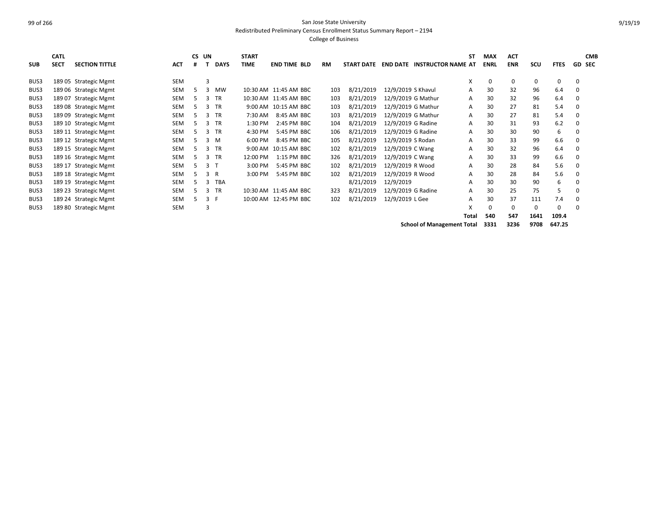Redistributed Preliminary Census Enrollment Status Summary Report – 2194

| <b>SUB</b> | <b>CATL</b><br><b>SECT</b> | <b>SECTION TITTLE</b> | <b>ACT</b> | CS UN<br># |                | <b>DAYS</b> | <b>START</b><br><b>TIME</b> | <b>END TIME BLD</b>   | <b>RM</b> | <b>START DATE</b> | <b>END DATE</b>    | <b>INSTRUCTOR NAME AT</b>         | SΤ    | <b>MAX</b><br><b>ENRL</b> | <b>ACT</b><br><b>ENR</b> | SCU  | <b>FTES</b> |   | <b>CMB</b><br><b>GD SEC</b> |
|------------|----------------------------|-----------------------|------------|------------|----------------|-------------|-----------------------------|-----------------------|-----------|-------------------|--------------------|-----------------------------------|-------|---------------------------|--------------------------|------|-------------|---|-----------------------------|
|            |                            |                       |            |            |                |             |                             |                       |           |                   |                    |                                   |       |                           |                          |      |             |   |                             |
| BUS3       |                            | 189 05 Strategic Mgmt | SEM        |            | 3              |             |                             |                       |           |                   |                    |                                   | X     | 0                         | 0                        | 0    | 0           | 0 |                             |
| BUS3       |                            | 189 06 Strategic Mgmt | SEM        | 5          | 3              | <b>MW</b>   |                             | 10:30 AM 11:45 AM BBC | 103       | 8/21/2019         | 12/9/2019 S Khavul |                                   | Α     | 30                        | 32                       | 96   | 6.4         | 0 |                             |
| BUS3       |                            | 189 07 Strategic Mgmt | SEM        | 5          | 3              | <b>TR</b>   |                             | 10:30 AM 11:45 AM BBC | 103       | 8/21/2019         | 12/9/2019 G Mathur |                                   | A     | 30                        | 32                       | 96   | 6.4         | 0 |                             |
| BUS3       |                            | 189 08 Strategic Mgmt | SEM        | 5.         | 3              | <b>TR</b>   |                             | 9:00 AM 10:15 AM BBC  | 103       | 8/21/2019         | 12/9/2019 G Mathur |                                   | A     | 30                        | 27                       | 81   | 5.4         | 0 |                             |
| BUS3       |                            | 189 09 Strategic Mgmt | SEM        | 5.         | 3              | <b>TR</b>   | 7:30 AM                     | 8:45 AM BBC           | 103       | 8/21/2019         | 12/9/2019 G Mathur |                                   | A     | 30                        | 27                       | 81   | 5.4         | 0 |                             |
| BUS3       |                            | 189 10 Strategic Mgmt | SEM        | 5          | 3              | <b>TR</b>   | 1:30 PM                     | 2:45 PM BBC           | 104       | 8/21/2019         | 12/9/2019 G Radine |                                   | Α     | 30                        | 31                       | 93   | 6.2         | 0 |                             |
| BUS3       |                            | 189 11 Strategic Mgmt | SEM        | 5          | 3              | <b>TR</b>   | 4:30 PM                     | 5:45 PM BBC           | 106       | 8/21/2019         | 12/9/2019 G Radine |                                   | A     | 30                        | 30                       | 90   | 6           | 0 |                             |
| BUS3       |                            | 189 12 Strategic Mgmt | SEM        | 5          |                | 3 M         | 6:00 PM                     | 8:45 PM BBC           | 105       | 8/21/2019         | 12/9/2019 S Rodan  |                                   | A     | 30                        | 33                       | 99   | 6.6         | 0 |                             |
| BUS3       |                            | 189 15 Strategic Mgmt | SEM        | 5.         | 3              | <b>TR</b>   |                             | 9:00 AM 10:15 AM BBC  | 102       | 8/21/2019         | 12/9/2019 C Wang   |                                   | A     | 30                        | 32                       | 96   | 6.4         | 0 |                             |
| BUS3       |                            | 189 16 Strategic Mgmt | SEM        | 5          | 3              | <b>TR</b>   | 12:00 PM                    | 1:15 PM BBC           | 326       | 8/21/2019         | 12/9/2019 C Wang   |                                   | A     | 30                        | 33                       | 99   | 6.6         | 0 |                             |
| BUS3       |                            | 189 17 Strategic Mgmt | SEM        | 5          | 3 <sub>1</sub> |             | 3:00 PM                     | 5:45 PM BBC           | 102       | 8/21/2019         | 12/9/2019 R Wood   |                                   | A     | 30                        | 28                       | 84   | 5.6         | 0 |                             |
| BUS3       |                            | 189 18 Strategic Mgmt | SEM        | 5.         |                | 3 R         | 3:00 PM                     | 5:45 PM BBC           | 102       | 8/21/2019         | 12/9/2019 R Wood   |                                   | A     | 30                        | 28                       | 84   | 5.6         | 0 |                             |
| BUS3       |                            | 189 19 Strategic Mgmt | SEM        | 5          | 3              | <b>TBA</b>  |                             |                       |           | 8/21/2019         | 12/9/2019          |                                   | A     | 30                        | 30                       | 90   | 6           | 0 |                             |
| BUS3       |                            | 189 23 Strategic Mgmt | <b>SEM</b> |            | 3              | <b>TR</b>   |                             | 10:30 AM 11:45 AM BBC | 323       | 8/21/2019         | 12/9/2019 G Radine |                                   | A     | 30                        | 25                       | 75   | 5           | 0 |                             |
| BUS3       |                            | 189 24 Strategic Mgmt | SEM        | 5          | 3 F            |             |                             | 10:00 AM 12:45 PM BBC | 102       | 8/21/2019         | 12/9/2019 L Gee    |                                   | A     | 30                        | 37                       | 111  | 7.4         | 0 |                             |
| BUS3       |                            | 189 80 Strategic Mgmt | <b>SEM</b> |            | 3              |             |                             |                       |           |                   |                    |                                   | X     | 0                         | 0                        | 0    | 0           | 0 |                             |
|            |                            |                       |            |            |                |             |                             |                       |           |                   |                    |                                   | Total | 540                       | 547                      | 1641 | 109.4       |   |                             |
|            |                            |                       |            |            |                |             |                             |                       |           |                   |                    | <b>School of Management Total</b> |       | 3331                      | 3236                     | 9708 | 647.25      |   |                             |